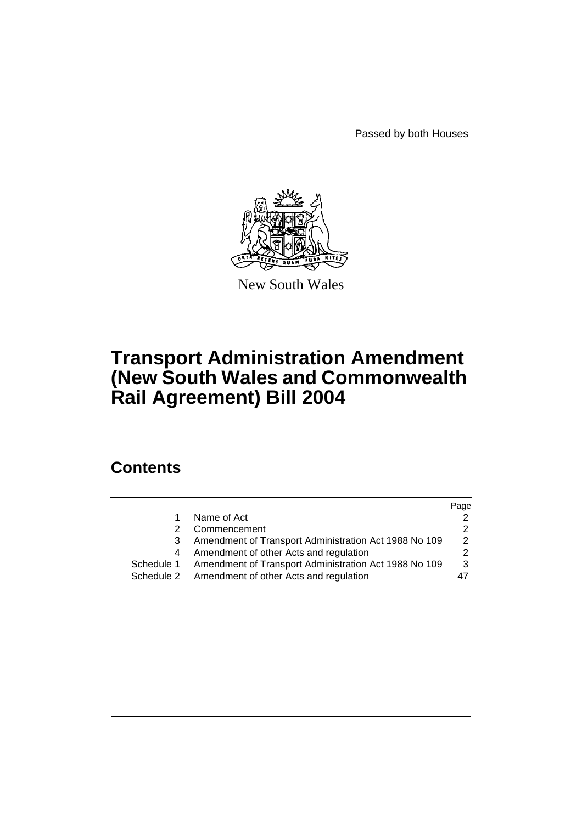Passed by both Houses



New South Wales

# **Transport Administration Amendment (New South Wales and Commonwealth Rail Agreement) Bill 2004**

# **Contents**

|            |                                                       | Page          |
|------------|-------------------------------------------------------|---------------|
|            | Name of Act                                           |               |
|            | Commencement                                          |               |
| 3          | Amendment of Transport Administration Act 1988 No 109 | $\mathcal{P}$ |
|            | Amendment of other Acts and regulation                |               |
| Schedule 1 | Amendment of Transport Administration Act 1988 No 109 | 3             |
| Schedule 2 | Amendment of other Acts and regulation                | 47            |
|            |                                                       |               |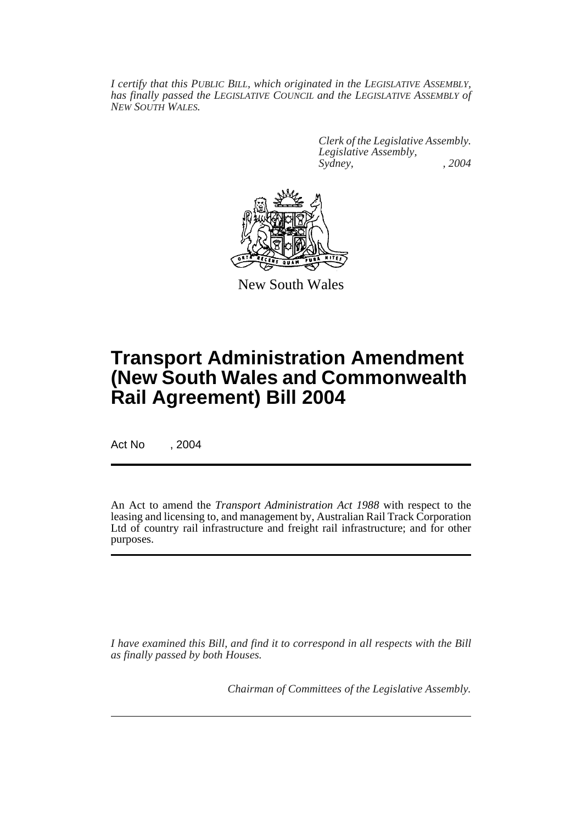*I certify that this PUBLIC BILL, which originated in the LEGISLATIVE ASSEMBLY, has finally passed the LEGISLATIVE COUNCIL and the LEGISLATIVE ASSEMBLY of NEW SOUTH WALES.*

> *Clerk of the Legislative Assembly. Legislative Assembly, Sydney, , 2004*



New South Wales

# **Transport Administration Amendment (New South Wales and Commonwealth Rail Agreement) Bill 2004**

Act No , 2004

An Act to amend the *Transport Administration Act 1988* with respect to the leasing and licensing to, and management by, Australian Rail Track Corporation Ltd of country rail infrastructure and freight rail infrastructure; and for other purposes.

*I have examined this Bill, and find it to correspond in all respects with the Bill as finally passed by both Houses.*

*Chairman of Committees of the Legislative Assembly.*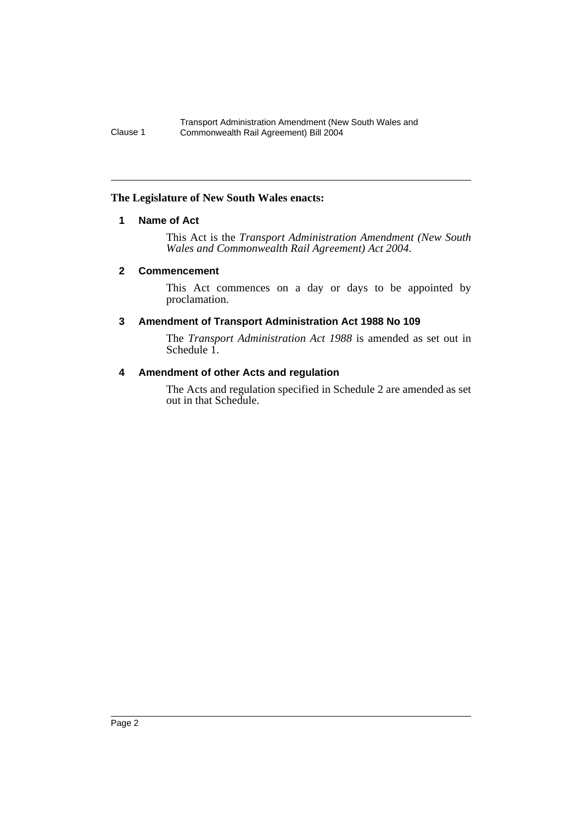### <span id="page-2-0"></span>**The Legislature of New South Wales enacts:**

### **1 Name of Act**

This Act is the *Transport Administration Amendment (New South Wales and Commonwealth Rail Agreement) Act 2004*.

### <span id="page-2-1"></span>**2 Commencement**

This Act commences on a day or days to be appointed by proclamation.

# <span id="page-2-2"></span>**3 Amendment of Transport Administration Act 1988 No 109**

The *Transport Administration Act 1988* is amended as set out in Schedule 1.

### <span id="page-2-3"></span>**4 Amendment of other Acts and regulation**

The Acts and regulation specified in Schedule 2 are amended as set out in that Schedule.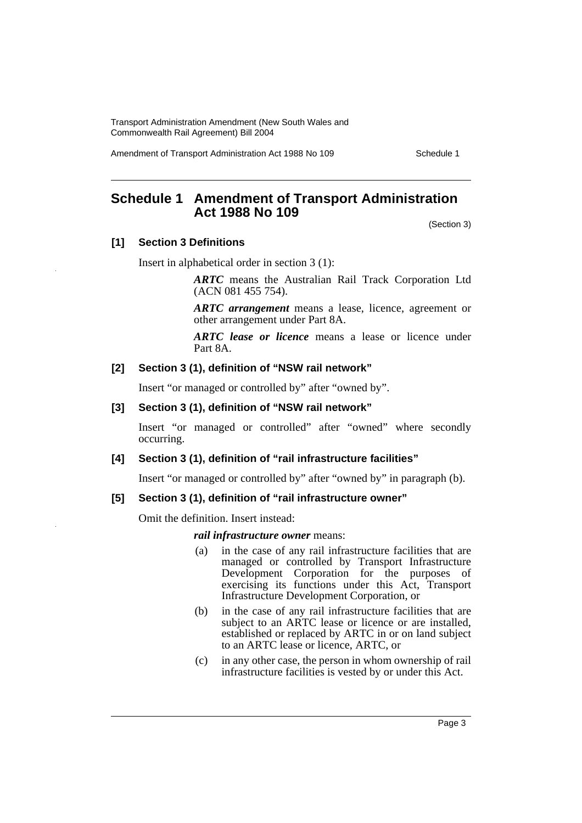Amendment of Transport Administration Act 1988 No 109 Schedule 1

# <span id="page-3-0"></span>**Schedule 1 Amendment of Transport Administration Act 1988 No 109**

(Section 3)

### **[1] Section 3 Definitions**

Insert in alphabetical order in section 3 (1):

*ARTC* means the Australian Rail Track Corporation Ltd (ACN 081 455 754).

*ARTC arrangement* means a lease, licence, agreement or other arrangement under Part 8A.

*ARTC lease or licence* means a lease or licence under Part 8A.

#### **[2] Section 3 (1), definition of "NSW rail network"**

Insert "or managed or controlled by" after "owned by".

#### **[3] Section 3 (1), definition of "NSW rail network"**

Insert "or managed or controlled" after "owned" where secondly occurring.

#### **[4] Section 3 (1), definition of "rail infrastructure facilities"**

Insert "or managed or controlled by" after "owned by" in paragraph (b).

#### **[5] Section 3 (1), definition of "rail infrastructure owner"**

Omit the definition. Insert instead:

*rail infrastructure owner* means:

- (a) in the case of any rail infrastructure facilities that are managed or controlled by Transport Infrastructure Development Corporation for the purposes of exercising its functions under this Act, Transport Infrastructure Development Corporation, or
- (b) in the case of any rail infrastructure facilities that are subject to an ARTC lease or licence or are installed, established or replaced by ARTC in or on land subject to an ARTC lease or licence, ARTC, or
- (c) in any other case, the person in whom ownership of rail infrastructure facilities is vested by or under this Act.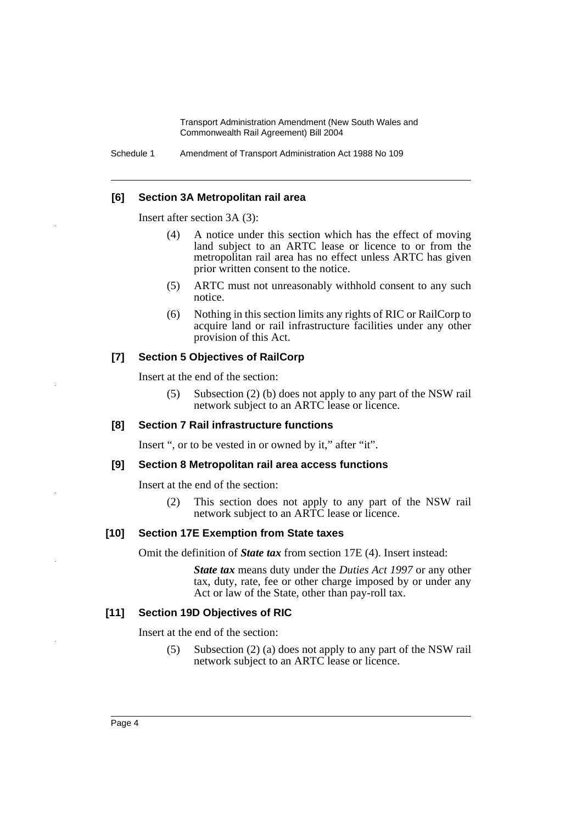Schedule 1 Amendment of Transport Administration Act 1988 No 109

#### **[6] Section 3A Metropolitan rail area**

Insert after section 3A (3):

- (4) A notice under this section which has the effect of moving land subject to an ARTC lease or licence to or from the metropolitan rail area has no effect unless ARTC has given prior written consent to the notice.
- (5) ARTC must not unreasonably withhold consent to any such notice.
- (6) Nothing in this section limits any rights of RIC or RailCorp to acquire land or rail infrastructure facilities under any other provision of this Act.

### **[7] Section 5 Objectives of RailCorp**

Insert at the end of the section:

(5) Subsection (2) (b) does not apply to any part of the NSW rail network subject to an ARTC lease or licence.

#### **[8] Section 7 Rail infrastructure functions**

Insert ", or to be vested in or owned by it," after "it".

#### **[9] Section 8 Metropolitan rail area access functions**

Insert at the end of the section:

(2) This section does not apply to any part of the NSW rail network subject to an ARTC lease or licence.

### **[10] Section 17E Exemption from State taxes**

Omit the definition of *State tax* from section 17E (4). Insert instead:

*State tax* means duty under the *Duties Act 1997* or any other tax, duty, rate, fee or other charge imposed by or under any Act or law of the State, other than pay-roll tax.

### **[11] Section 19D Objectives of RIC**

Insert at the end of the section:

(5) Subsection (2) (a) does not apply to any part of the NSW rail network subject to an ARTC lease or licence.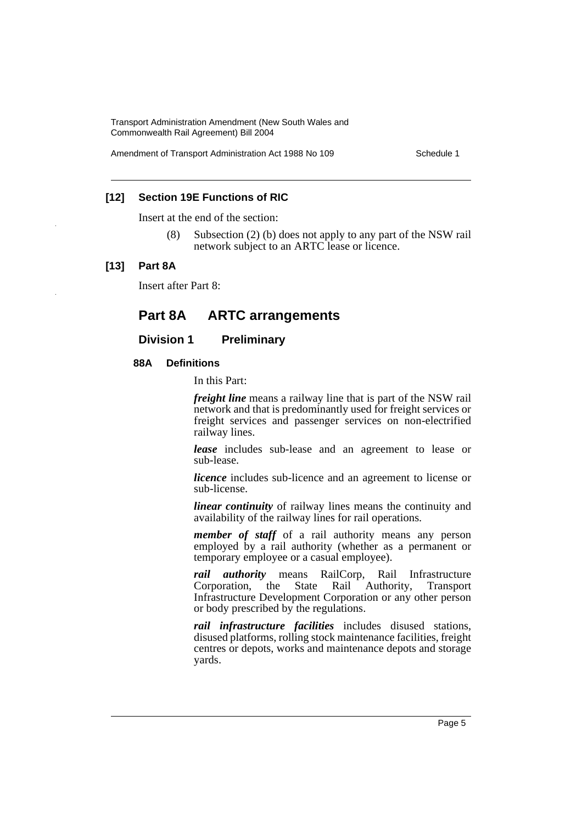Amendment of Transport Administration Act 1988 No 109 Schedule 1

### **[12] Section 19E Functions of RIC**

Insert at the end of the section:

(8) Subsection (2) (b) does not apply to any part of the NSW rail network subject to an ARTC lease or licence.

#### **[13] Part 8A**

Insert after Part 8:

# **Part 8A ARTC arrangements**

### **Division 1 Preliminary**

#### **88A Definitions**

In this Part:

*freight line* means a railway line that is part of the NSW rail network and that is predominantly used for freight services or freight services and passenger services on non-electrified railway lines.

*lease* includes sub-lease and an agreement to lease or sub-lease.

*licence* includes sub-licence and an agreement to license or sub-license.

*linear continuity* of railway lines means the continuity and availability of the railway lines for rail operations.

*member of staff* of a rail authority means any person employed by a rail authority (whether as a permanent or temporary employee or a casual employee).

*rail authority* means RailCorp, Rail Infrastructure Corporation, the State Rail Authority, Transport Infrastructure Development Corporation or any other person or body prescribed by the regulations.

*rail infrastructure facilities* includes disused stations, disused platforms, rolling stock maintenance facilities, freight centres or depots, works and maintenance depots and storage yards.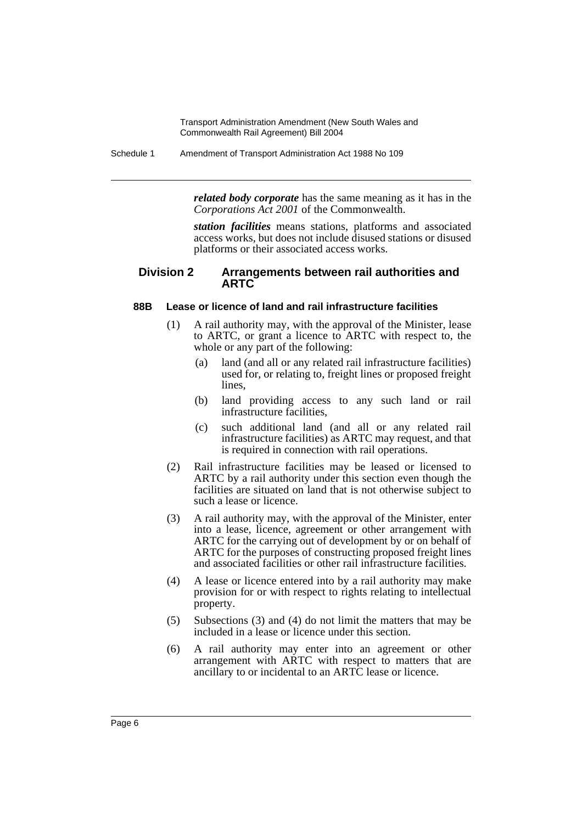Schedule 1 Amendment of Transport Administration Act 1988 No 109

*related body corporate* has the same meaning as it has in the *Corporations Act 2001* of the Commonwealth.

*station facilities* means stations, platforms and associated access works, but does not include disused stations or disused platforms or their associated access works.

### **Division 2 Arrangements between rail authorities and ARTC**

### **88B Lease or licence of land and rail infrastructure facilities**

- (1) A rail authority may, with the approval of the Minister, lease to ARTC, or grant a licence to ARTC with respect to, the whole or any part of the following:
	- (a) land (and all or any related rail infrastructure facilities) used for, or relating to, freight lines or proposed freight lines,
	- (b) land providing access to any such land or rail infrastructure facilities,
	- (c) such additional land (and all or any related rail infrastructure facilities) as ARTC may request, and that is required in connection with rail operations.
- (2) Rail infrastructure facilities may be leased or licensed to ARTC by a rail authority under this section even though the facilities are situated on land that is not otherwise subject to such a lease or licence.
- (3) A rail authority may, with the approval of the Minister, enter into a lease, licence, agreement or other arrangement with ARTC for the carrying out of development by or on behalf of ARTC for the purposes of constructing proposed freight lines and associated facilities or other rail infrastructure facilities.
- (4) A lease or licence entered into by a rail authority may make provision for or with respect to rights relating to intellectual property.
- (5) Subsections (3) and (4) do not limit the matters that may be included in a lease or licence under this section.
- (6) A rail authority may enter into an agreement or other arrangement with ARTC with respect to matters that are ancillary to or incidental to an ARTC lease or licence.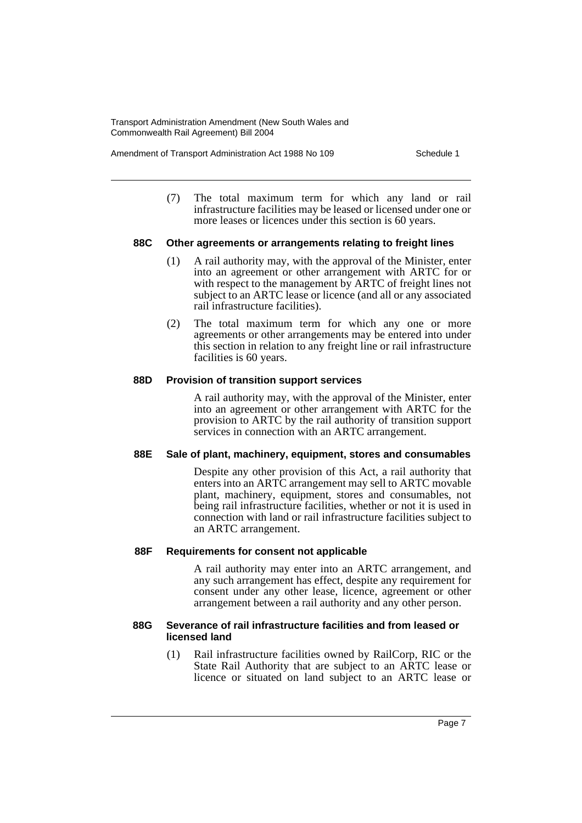Amendment of Transport Administration Act 1988 No 109 Schedule 1

(7) The total maximum term for which any land or rail infrastructure facilities may be leased or licensed under one or more leases or licences under this section is 60 years.

#### **88C Other agreements or arrangements relating to freight lines**

- (1) A rail authority may, with the approval of the Minister, enter into an agreement or other arrangement with ARTC for or with respect to the management by ARTC of freight lines not subject to an ARTC lease or licence (and all or any associated rail infrastructure facilities).
- (2) The total maximum term for which any one or more agreements or other arrangements may be entered into under this section in relation to any freight line or rail infrastructure facilities is 60 years.

#### **88D Provision of transition support services**

A rail authority may, with the approval of the Minister, enter into an agreement or other arrangement with ARTC for the provision to ARTC by the rail authority of transition support services in connection with an ARTC arrangement.

#### **88E Sale of plant, machinery, equipment, stores and consumables**

Despite any other provision of this Act, a rail authority that enters into an ARTC arrangement may sell to ARTC movable plant, machinery, equipment, stores and consumables, not being rail infrastructure facilities, whether or not it is used in connection with land or rail infrastructure facilities subject to an ARTC arrangement.

#### **88F Requirements for consent not applicable**

A rail authority may enter into an ARTC arrangement, and any such arrangement has effect, despite any requirement for consent under any other lease, licence, agreement or other arrangement between a rail authority and any other person.

#### **88G Severance of rail infrastructure facilities and from leased or licensed land**

(1) Rail infrastructure facilities owned by RailCorp, RIC or the State Rail Authority that are subject to an ARTC lease or licence or situated on land subject to an ARTC lease or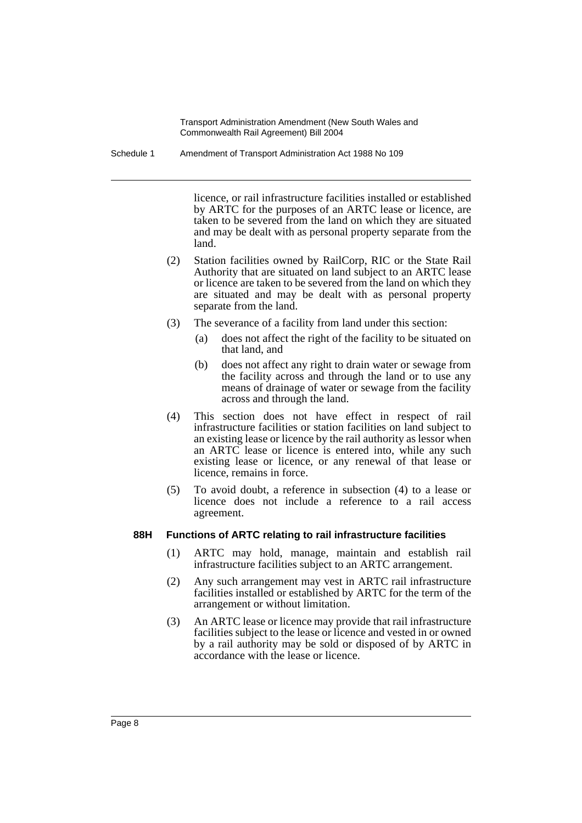Schedule 1 Amendment of Transport Administration Act 1988 No 109

licence, or rail infrastructure facilities installed or established by ARTC for the purposes of an ARTC lease or licence, are taken to be severed from the land on which they are situated and may be dealt with as personal property separate from the land.

- (2) Station facilities owned by RailCorp, RIC or the State Rail Authority that are situated on land subject to an ARTC lease or licence are taken to be severed from the land on which they are situated and may be dealt with as personal property separate from the land.
- (3) The severance of a facility from land under this section:
	- (a) does not affect the right of the facility to be situated on that land, and
	- (b) does not affect any right to drain water or sewage from the facility across and through the land or to use any means of drainage of water or sewage from the facility across and through the land.
- (4) This section does not have effect in respect of rail infrastructure facilities or station facilities on land subject to an existing lease or licence by the rail authority as lessor when an ARTC lease or licence is entered into, while any such existing lease or licence, or any renewal of that lease or licence, remains in force.
- (5) To avoid doubt, a reference in subsection (4) to a lease or licence does not include a reference to a rail access agreement.

### **88H Functions of ARTC relating to rail infrastructure facilities**

- (1) ARTC may hold, manage, maintain and establish rail infrastructure facilities subject to an ARTC arrangement.
- (2) Any such arrangement may vest in ARTC rail infrastructure facilities installed or established by ARTC for the term of the arrangement or without limitation.
- (3) An ARTC lease or licence may provide that rail infrastructure facilities subject to the lease or licence and vested in or owned by a rail authority may be sold or disposed of by ARTC in accordance with the lease or licence.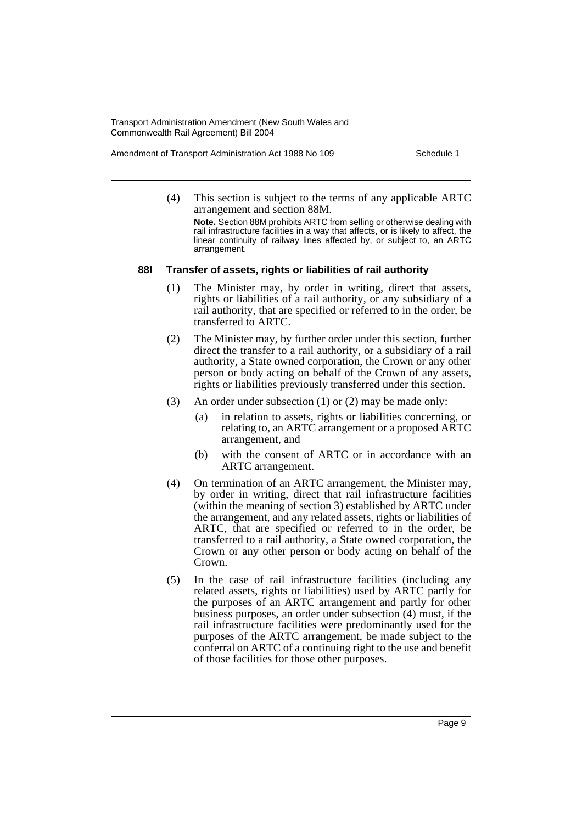Amendment of Transport Administration Act 1988 No 109 Schedule 1

(4) This section is subject to the terms of any applicable ARTC arrangement and section 88M.

**Note.** Section 88M prohibits ARTC from selling or otherwise dealing with rail infrastructure facilities in a way that affects, or is likely to affect, the linear continuity of railway lines affected by, or subject to, an ARTC arrangement.

#### **88I Transfer of assets, rights or liabilities of rail authority**

- (1) The Minister may, by order in writing, direct that assets, rights or liabilities of a rail authority, or any subsidiary of a rail authority, that are specified or referred to in the order, be transferred to ARTC.
- (2) The Minister may, by further order under this section, further direct the transfer to a rail authority, or a subsidiary of a rail authority, a State owned corporation, the Crown or any other person or body acting on behalf of the Crown of any assets, rights or liabilities previously transferred under this section.
- (3) An order under subsection (1) or (2) may be made only:
	- (a) in relation to assets, rights or liabilities concerning, or relating to, an ARTC arrangement or a proposed ARTC arrangement, and
	- (b) with the consent of ARTC or in accordance with an ARTC arrangement.
- (4) On termination of an ARTC arrangement, the Minister may, by order in writing, direct that rail infrastructure facilities (within the meaning of section 3) established by ARTC under the arrangement, and any related assets, rights or liabilities of ARTC, that are specified or referred to in the order, be transferred to a rail authority, a State owned corporation, the Crown or any other person or body acting on behalf of the Crown.
- (5) In the case of rail infrastructure facilities (including any related assets, rights or liabilities) used by ARTC partly for the purposes of an ARTC arrangement and partly for other business purposes, an order under subsection (4) must, if the rail infrastructure facilities were predominantly used for the purposes of the ARTC arrangement, be made subject to the conferral on ARTC of a continuing right to the use and benefit of those facilities for those other purposes.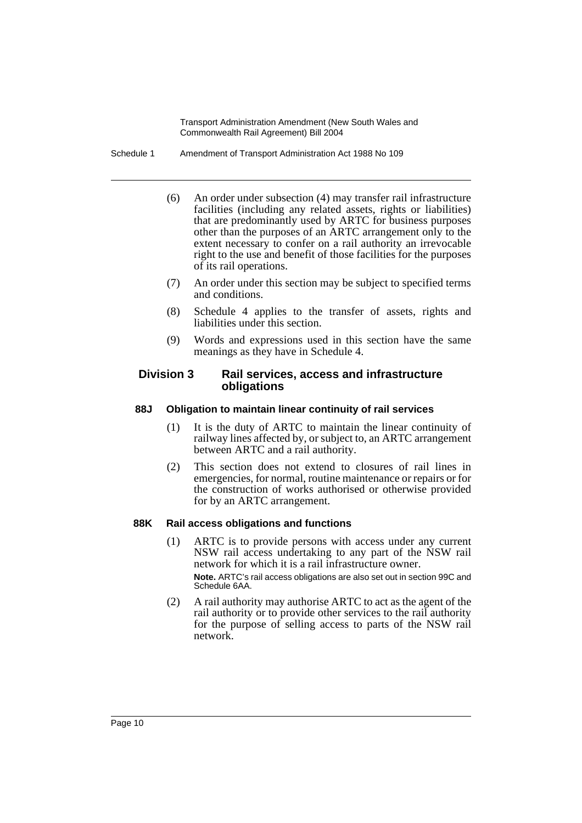Schedule 1 Amendment of Transport Administration Act 1988 No 109

- (6) An order under subsection (4) may transfer rail infrastructure facilities (including any related assets, rights or liabilities) that are predominantly used by ARTC for business purposes other than the purposes of an ARTC arrangement only to the extent necessary to confer on a rail authority an irrevocable right to the use and benefit of those facilities for the purposes of its rail operations.
- (7) An order under this section may be subject to specified terms and conditions.
- (8) Schedule 4 applies to the transfer of assets, rights and liabilities under this section.
- (9) Words and expressions used in this section have the same meanings as they have in Schedule 4.

### **Division 3 Rail services, access and infrastructure obligations**

### **88J Obligation to maintain linear continuity of rail services**

- (1) It is the duty of ARTC to maintain the linear continuity of railway lines affected by, or subject to, an ARTC arrangement between ARTC and a rail authority.
- (2) This section does not extend to closures of rail lines in emergencies, for normal, routine maintenance or repairs or for the construction of works authorised or otherwise provided for by an ARTC arrangement.

### **88K Rail access obligations and functions**

(1) ARTC is to provide persons with access under any current NSW rail access undertaking to any part of the NSW rail network for which it is a rail infrastructure owner.

**Note.** ARTC's rail access obligations are also set out in section 99C and Schedule 6AA.

(2) A rail authority may authorise ARTC to act as the agent of the rail authority or to provide other services to the rail authority for the purpose of selling access to parts of the NSW rail network.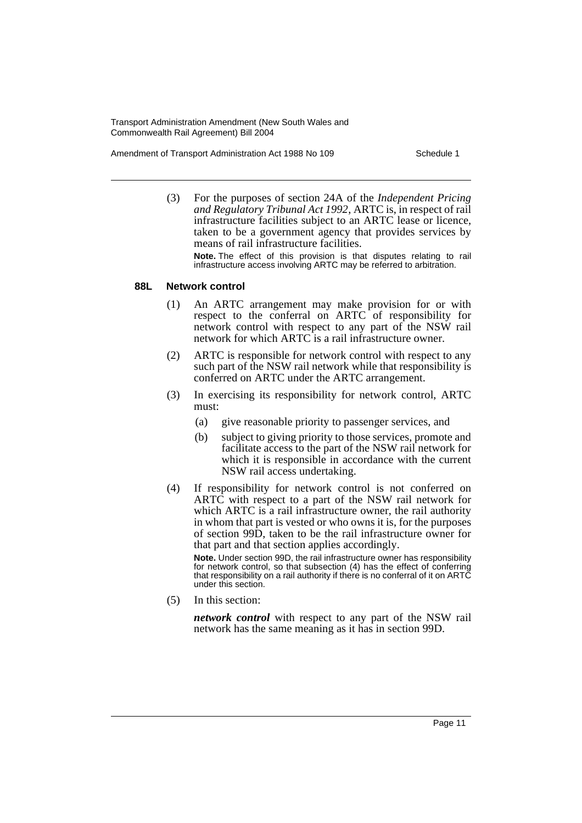Amendment of Transport Administration Act 1988 No 109 Schedule 1

(3) For the purposes of section 24A of the *Independent Pricing and Regulatory Tribunal Act 1992*, ARTC is, in respect of rail infrastructure facilities subject to an ARTC lease or licence, taken to be a government agency that provides services by means of rail infrastructure facilities.

**Note.** The effect of this provision is that disputes relating to rail infrastructure access involving ARTC may be referred to arbitration.

#### **88L Network control**

- (1) An ARTC arrangement may make provision for or with respect to the conferral on ARTC of responsibility for network control with respect to any part of the NSW rail network for which ARTC is a rail infrastructure owner.
- (2) ARTC is responsible for network control with respect to any such part of the NSW rail network while that responsibility is conferred on ARTC under the ARTC arrangement.
- (3) In exercising its responsibility for network control, ARTC must:
	- (a) give reasonable priority to passenger services, and
	- (b) subject to giving priority to those services, promote and facilitate access to the part of the NSW rail network for which it is responsible in accordance with the current NSW rail access undertaking.
- (4) If responsibility for network control is not conferred on ARTC with respect to a part of the NSW rail network for which ARTC is a rail infrastructure owner, the rail authority in whom that part is vested or who owns it is, for the purposes of section 99D, taken to be the rail infrastructure owner for that part and that section applies accordingly.

**Note.** Under section 99D, the rail infrastructure owner has responsibility for network control, so that subsection (4) has the effect of conferring that responsibility on a rail authority if there is no conferral of it on ARTC under this section.

(5) In this section:

*network control* with respect to any part of the NSW rail network has the same meaning as it has in section 99D.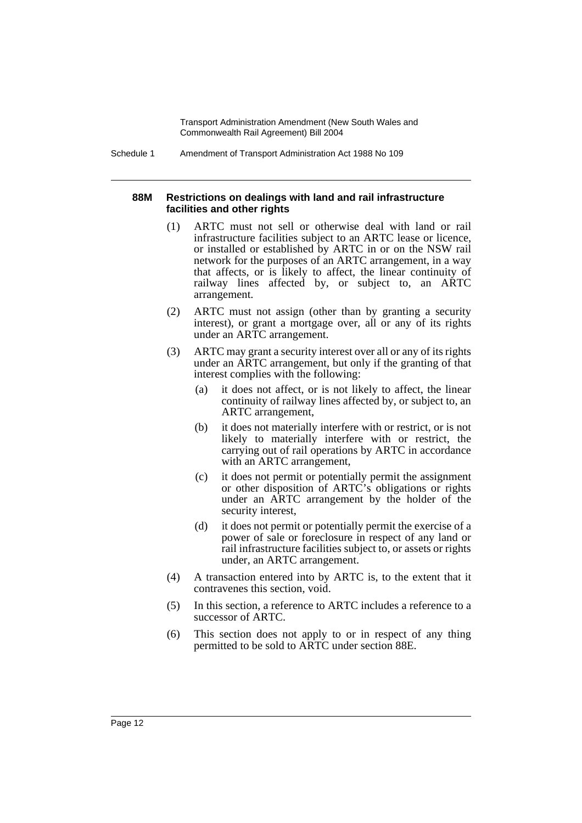Schedule 1 Amendment of Transport Administration Act 1988 No 109

#### **88M Restrictions on dealings with land and rail infrastructure facilities and other rights**

- (1) ARTC must not sell or otherwise deal with land or rail infrastructure facilities subject to an ARTC lease or licence, or installed or established by ARTC in or on the NSW rail network for the purposes of an ARTC arrangement, in a way that affects, or is likely to affect, the linear continuity of railway lines affected by, or subject to, an ARTC arrangement.
- (2) ARTC must not assign (other than by granting a security interest), or grant a mortgage over, all or any of its rights under an ARTC arrangement.
- (3) ARTC may grant a security interest over all or any of its rights under an ARTC arrangement, but only if the granting of that interest complies with the following:
	- (a) it does not affect, or is not likely to affect, the linear continuity of railway lines affected by, or subject to, an ARTC arrangement,
	- (b) it does not materially interfere with or restrict, or is not likely to materially interfere with or restrict, the carrying out of rail operations by ARTC in accordance with an ARTC arrangement,
	- (c) it does not permit or potentially permit the assignment or other disposition of ARTC's obligations or rights under an ARTC arrangement by the holder of the security interest,
	- (d) it does not permit or potentially permit the exercise of a power of sale or foreclosure in respect of any land or rail infrastructure facilities subject to, or assets or rights under, an ARTC arrangement.
- (4) A transaction entered into by ARTC is, to the extent that it contravenes this section, void.
- (5) In this section, a reference to ARTC includes a reference to a successor of ARTC.
- (6) This section does not apply to or in respect of any thing permitted to be sold to ARTC under section 88E.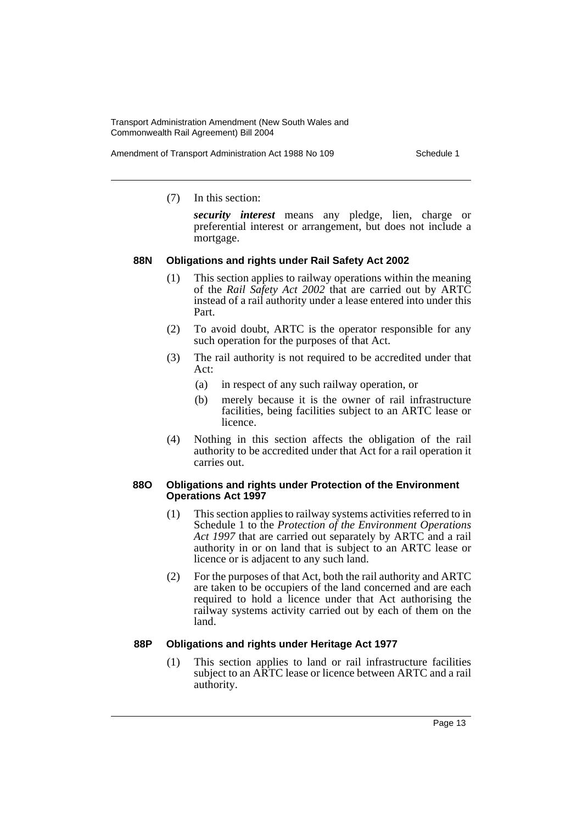Amendment of Transport Administration Act 1988 No 109 Schedule 1

(7) In this section:

*security interest* means any pledge, lien, charge or preferential interest or arrangement, but does not include a mortgage.

### **88N Obligations and rights under Rail Safety Act 2002**

- (1) This section applies to railway operations within the meaning of the *Rail Safety Act 2002* that are carried out by ARTC instead of a rail authority under a lease entered into under this Part.
- (2) To avoid doubt, ARTC is the operator responsible for any such operation for the purposes of that Act.
- (3) The rail authority is not required to be accredited under that Act:
	- (a) in respect of any such railway operation, or
	- (b) merely because it is the owner of rail infrastructure facilities, being facilities subject to an ARTC lease or licence.
- (4) Nothing in this section affects the obligation of the rail authority to be accredited under that Act for a rail operation it carries out.

#### **88O Obligations and rights under Protection of the Environment Operations Act 1997**

- (1) This section applies to railway systems activities referred to in Schedule 1 to the *Protection of the Environment Operations Act 1997* that are carried out separately by ARTC and a rail authority in or on land that is subject to an ARTC lease or licence or is adjacent to any such land.
- (2) For the purposes of that Act, both the rail authority and ARTC are taken to be occupiers of the land concerned and are each required to hold a licence under that Act authorising the railway systems activity carried out by each of them on the land.

### **88P Obligations and rights under Heritage Act 1977**

(1) This section applies to land or rail infrastructure facilities subject to an ARTC lease or licence between ARTC and a rail authority.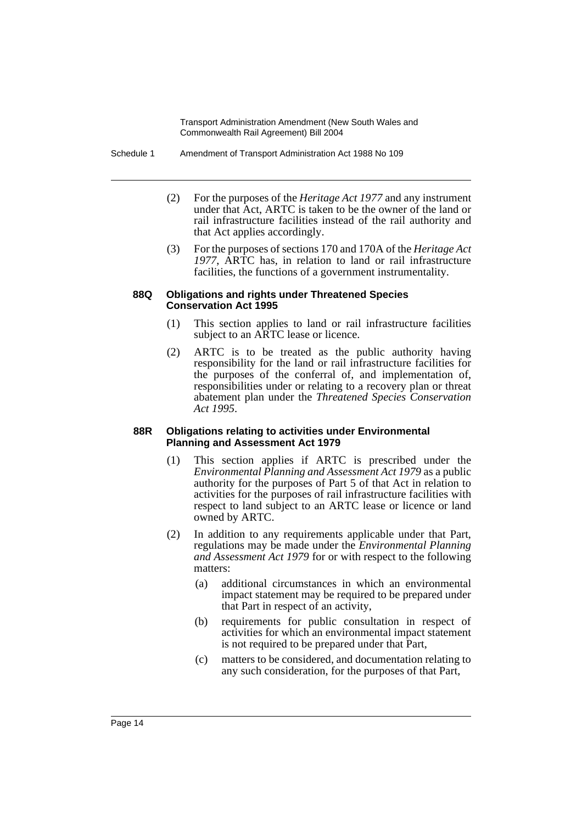Schedule 1 Amendment of Transport Administration Act 1988 No 109

- (2) For the purposes of the *Heritage Act 1977* and any instrument under that Act, ARTC is taken to be the owner of the land or rail infrastructure facilities instead of the rail authority and that Act applies accordingly.
- (3) For the purposes of sections 170 and 170A of the *Heritage Act 1977*, ARTC has, in relation to land or rail infrastructure facilities, the functions of a government instrumentality.

#### **88Q Obligations and rights under Threatened Species Conservation Act 1995**

- (1) This section applies to land or rail infrastructure facilities subject to an ARTC lease or licence.
- (2) ARTC is to be treated as the public authority having responsibility for the land or rail infrastructure facilities for the purposes of the conferral of, and implementation of, responsibilities under or relating to a recovery plan or threat abatement plan under the *Threatened Species Conservation Act 1995*.

#### **88R Obligations relating to activities under Environmental Planning and Assessment Act 1979**

- (1) This section applies if ARTC is prescribed under the *Environmental Planning and Assessment Act 1979* as a public authority for the purposes of Part 5 of that Act in relation to activities for the purposes of rail infrastructure facilities with respect to land subject to an ARTC lease or licence or land owned by ARTC.
- (2) In addition to any requirements applicable under that Part, regulations may be made under the *Environmental Planning and Assessment Act 1979* for or with respect to the following matters:
	- (a) additional circumstances in which an environmental impact statement may be required to be prepared under that Part in respect of an activity,
	- (b) requirements for public consultation in respect of activities for which an environmental impact statement is not required to be prepared under that Part,
	- (c) matters to be considered, and documentation relating to any such consideration, for the purposes of that Part,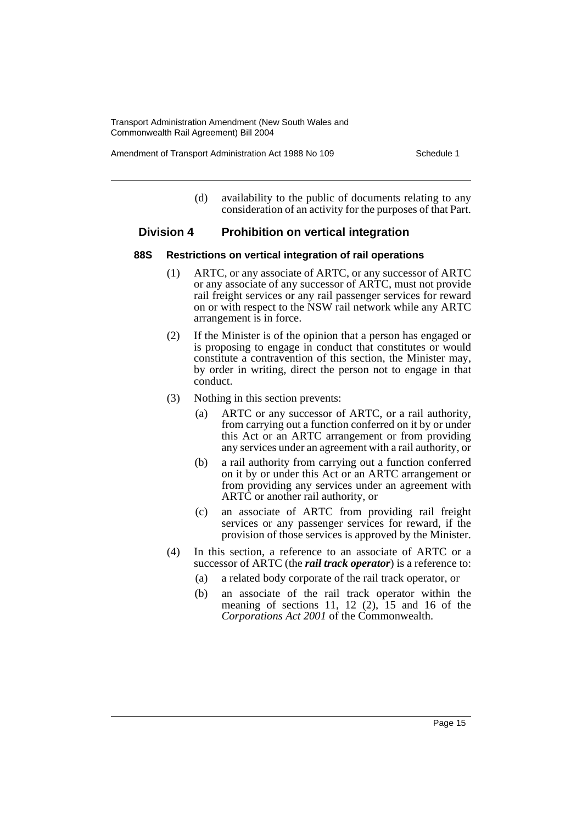Amendment of Transport Administration Act 1988 No 109 Schedule 1

(d) availability to the public of documents relating to any consideration of an activity for the purposes of that Part.

### **Division 4 Prohibition on vertical integration**

#### **88S Restrictions on vertical integration of rail operations**

- (1) ARTC, or any associate of ARTC, or any successor of ARTC or any associate of any successor of ARTC, must not provide rail freight services or any rail passenger services for reward on or with respect to the NSW rail network while any ARTC arrangement is in force.
- (2) If the Minister is of the opinion that a person has engaged or is proposing to engage in conduct that constitutes or would constitute a contravention of this section, the Minister may, by order in writing, direct the person not to engage in that conduct.
- (3) Nothing in this section prevents:
	- (a) ARTC or any successor of ARTC, or a rail authority, from carrying out a function conferred on it by or under this Act or an ARTC arrangement or from providing any services under an agreement with a rail authority, or
	- (b) a rail authority from carrying out a function conferred on it by or under this Act or an ARTC arrangement or from providing any services under an agreement with ARTC or another rail authority, or
	- (c) an associate of ARTC from providing rail freight services or any passenger services for reward, if the provision of those services is approved by the Minister.
- (4) In this section, a reference to an associate of ARTC or a successor of ARTC (the *rail track operator*) is a reference to:
	- (a) a related body corporate of the rail track operator, or
	- (b) an associate of the rail track operator within the meaning of sections 11, 12  $(2)$ , 15 and 16 of the *Corporations Act 2001* of the Commonwealth.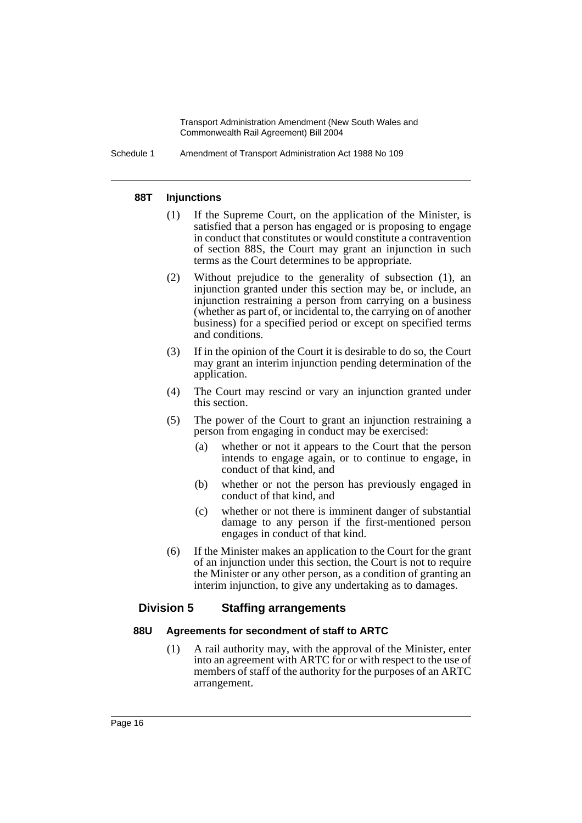Schedule 1 Amendment of Transport Administration Act 1988 No 109

#### **88T Injunctions**

- (1) If the Supreme Court, on the application of the Minister, is satisfied that a person has engaged or is proposing to engage in conduct that constitutes or would constitute a contravention of section 88S, the Court may grant an injunction in such terms as the Court determines to be appropriate.
- (2) Without prejudice to the generality of subsection (1), an injunction granted under this section may be, or include, an injunction restraining a person from carrying on a business (whether as part of, or incidental to, the carrying on of another business) for a specified period or except on specified terms and conditions.
- (3) If in the opinion of the Court it is desirable to do so, the Court may grant an interim injunction pending determination of the application.
- (4) The Court may rescind or vary an injunction granted under this section.
- (5) The power of the Court to grant an injunction restraining a person from engaging in conduct may be exercised:
	- (a) whether or not it appears to the Court that the person intends to engage again, or to continue to engage, in conduct of that kind, and
	- (b) whether or not the person has previously engaged in conduct of that kind, and
	- (c) whether or not there is imminent danger of substantial damage to any person if the first-mentioned person engages in conduct of that kind.
- (6) If the Minister makes an application to the Court for the grant of an injunction under this section, the Court is not to require the Minister or any other person, as a condition of granting an interim injunction, to give any undertaking as to damages.

### **Division 5 Staffing arrangements**

#### **88U Agreements for secondment of staff to ARTC**

(1) A rail authority may, with the approval of the Minister, enter into an agreement with ARTC for or with respect to the use of members of staff of the authority for the purposes of an ARTC arrangement.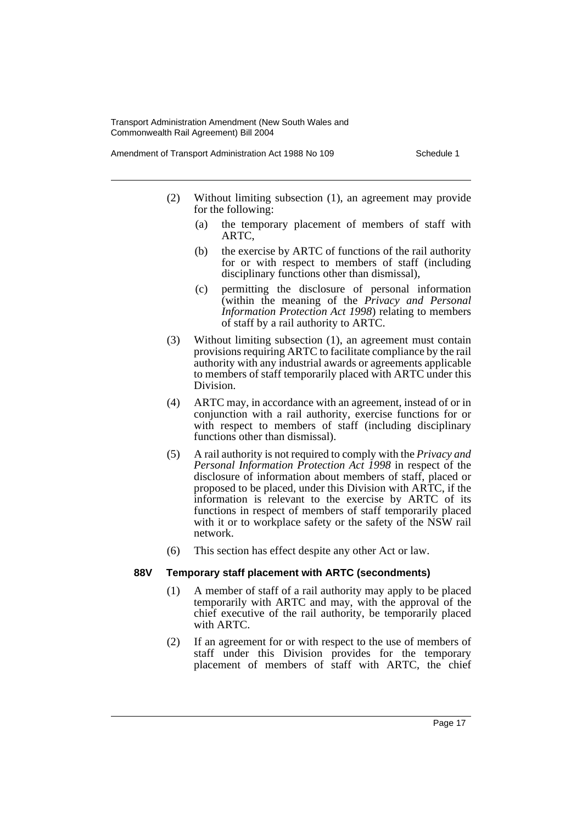Amendment of Transport Administration Act 1988 No 109 Schedule 1

- (2) Without limiting subsection (1), an agreement may provide for the following:
	- (a) the temporary placement of members of staff with ARTC,
	- (b) the exercise by ARTC of functions of the rail authority for or with respect to members of staff (including disciplinary functions other than dismissal),
	- (c) permitting the disclosure of personal information (within the meaning of the *Privacy and Personal Information Protection Act 1998*) relating to members of staff by a rail authority to ARTC.
- (3) Without limiting subsection (1), an agreement must contain provisions requiring ARTC to facilitate compliance by the rail authority with any industrial awards or agreements applicable to members of staff temporarily placed with ARTC under this Division.
- (4) ARTC may, in accordance with an agreement, instead of or in conjunction with a rail authority, exercise functions for or with respect to members of staff (including disciplinary functions other than dismissal).
- (5) A rail authority is not required to comply with the *Privacy and Personal Information Protection Act 1998* in respect of the disclosure of information about members of staff, placed or proposed to be placed, under this Division with ARTC, if the information is relevant to the exercise by ARTC of its functions in respect of members of staff temporarily placed with it or to workplace safety or the safety of the NSW rail network.
- (6) This section has effect despite any other Act or law.

### **88V Temporary staff placement with ARTC (secondments)**

- (1) A member of staff of a rail authority may apply to be placed temporarily with ARTC and may, with the approval of the chief executive of the rail authority, be temporarily placed with ARTC.
- (2) If an agreement for or with respect to the use of members of staff under this Division provides for the temporary placement of members of staff with ARTC, the chief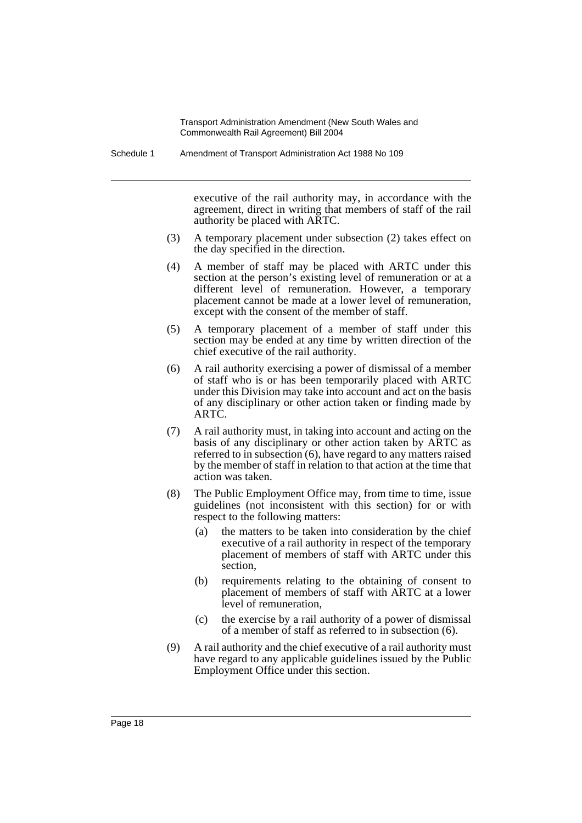Schedule 1 Amendment of Transport Administration Act 1988 No 109

executive of the rail authority may, in accordance with the agreement, direct in writing that members of staff of the rail authority be placed with ARTC.

- (3) A temporary placement under subsection (2) takes effect on the day specified in the direction.
- (4) A member of staff may be placed with ARTC under this section at the person's existing level of remuneration or at a different level of remuneration. However, a temporary placement cannot be made at a lower level of remuneration, except with the consent of the member of staff.
- (5) A temporary placement of a member of staff under this section may be ended at any time by written direction of the chief executive of the rail authority.
- (6) A rail authority exercising a power of dismissal of a member of staff who is or has been temporarily placed with ARTC under this Division may take into account and act on the basis of any disciplinary or other action taken or finding made by ARTC.
- (7) A rail authority must, in taking into account and acting on the basis of any disciplinary or other action taken by ARTC as referred to in subsection (6), have regard to any matters raised by the member of staff in relation to that action at the time that action was taken.
- (8) The Public Employment Office may, from time to time, issue guidelines (not inconsistent with this section) for or with respect to the following matters:
	- (a) the matters to be taken into consideration by the chief executive of a rail authority in respect of the temporary placement of members of staff with ARTC under this section,
	- (b) requirements relating to the obtaining of consent to placement of members of staff with ARTC at a lower level of remuneration,
	- (c) the exercise by a rail authority of a power of dismissal of a member of staff as referred to in subsection (6).
- (9) A rail authority and the chief executive of a rail authority must have regard to any applicable guidelines issued by the Public Employment Office under this section.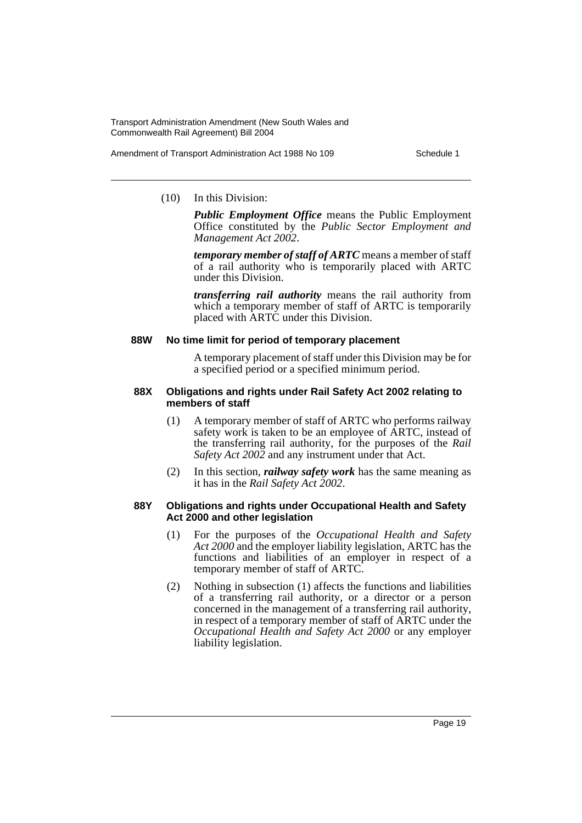Amendment of Transport Administration Act 1988 No 109 Schedule 1

#### (10) In this Division:

*Public Employment Office* means the Public Employment Office constituted by the *Public Sector Employment and Management Act 2002*.

*temporary member of staff of ARTC* means a member of staff of a rail authority who is temporarily placed with ARTC under this Division.

*transferring rail authority* means the rail authority from which a temporary member of staff of ARTC is temporarily placed with ARTC under this Division.

#### **88W No time limit for period of temporary placement**

A temporary placement of staff under this Division may be for a specified period or a specified minimum period.

#### **88X Obligations and rights under Rail Safety Act 2002 relating to members of staff**

- (1) A temporary member of staff of ARTC who performs railway safety work is taken to be an employee of ARTC, instead of the transferring rail authority, for the purposes of the *Rail Safety Act 2002* and any instrument under that Act.
- (2) In this section, *railway safety work* has the same meaning as it has in the *Rail Safety Act 2002*.

### **88Y Obligations and rights under Occupational Health and Safety Act 2000 and other legislation**

- (1) For the purposes of the *Occupational Health and Safety Act 2000* and the employer liability legislation, ARTC has the functions and liabilities of an employer in respect of a temporary member of staff of ARTC.
- (2) Nothing in subsection (1) affects the functions and liabilities of a transferring rail authority, or a director or a person concerned in the management of a transferring rail authority, in respect of a temporary member of staff of ARTC under the *Occupational Health and Safety Act 2000* or any employer liability legislation.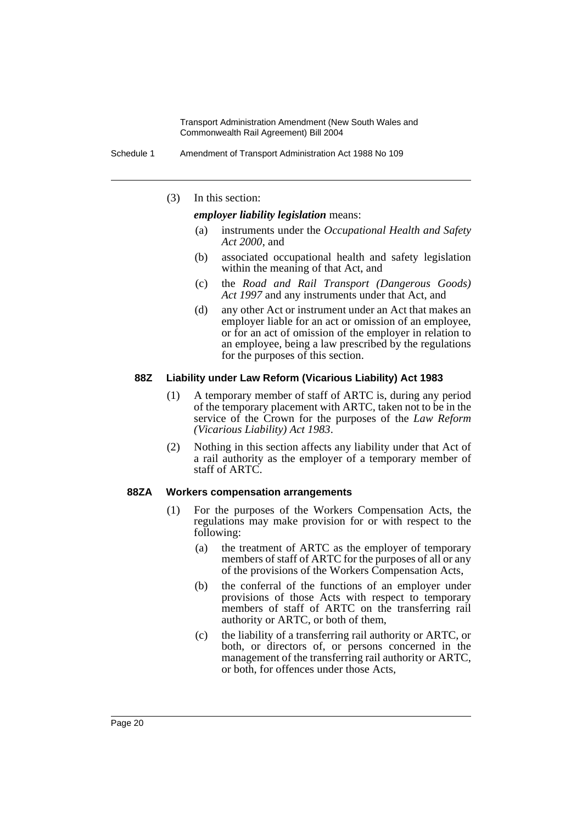Schedule 1 Amendment of Transport Administration Act 1988 No 109

(3) In this section:

*employer liability legislation* means:

- (a) instruments under the *Occupational Health and Safety Act 2000*, and
- (b) associated occupational health and safety legislation within the meaning of that Act, and
- (c) the *Road and Rail Transport (Dangerous Goods) Act 1997* and any instruments under that Act, and
- (d) any other Act or instrument under an Act that makes an employer liable for an act or omission of an employee, or for an act of omission of the employer in relation to an employee, being a law prescribed by the regulations for the purposes of this section.

#### **88Z Liability under Law Reform (Vicarious Liability) Act 1983**

- (1) A temporary member of staff of ARTC is, during any period of the temporary placement with ARTC, taken not to be in the service of the Crown for the purposes of the *Law Reform (Vicarious Liability) Act 1983*.
- (2) Nothing in this section affects any liability under that Act of a rail authority as the employer of a temporary member of staff of ARTC.

#### **88ZA Workers compensation arrangements**

- (1) For the purposes of the Workers Compensation Acts, the regulations may make provision for or with respect to the following:
	- (a) the treatment of ARTC as the employer of temporary members of staff of ARTC for the purposes of all or any of the provisions of the Workers Compensation Acts,
	- (b) the conferral of the functions of an employer under provisions of those Acts with respect to temporary members of staff of ARTC on the transferring rail authority or ARTC, or both of them,
	- (c) the liability of a transferring rail authority or ARTC, or both, or directors of, or persons concerned in the management of the transferring rail authority or ARTC, or both, for offences under those Acts,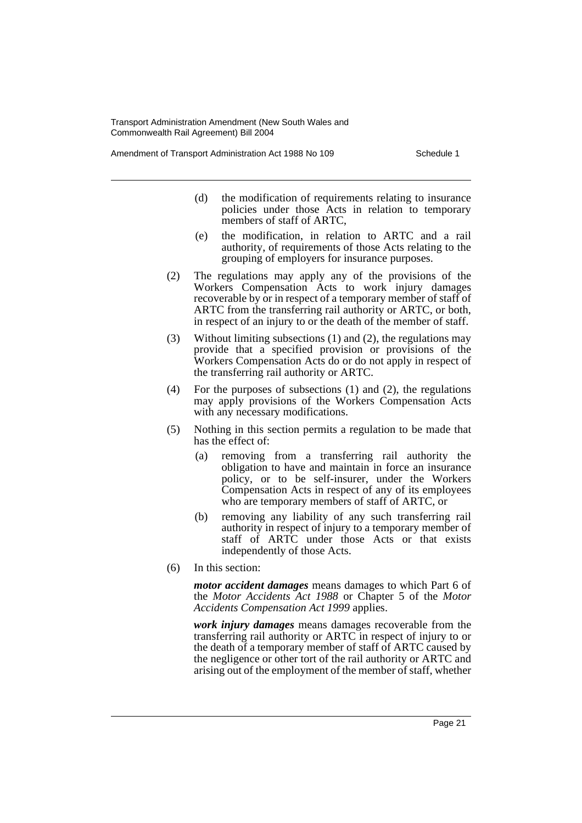Amendment of Transport Administration Act 1988 No 109 Schedule 1

- (d) the modification of requirements relating to insurance policies under those Acts in relation to temporary members of staff of ARTC,
- (e) the modification, in relation to ARTC and a rail authority, of requirements of those Acts relating to the grouping of employers for insurance purposes.
- (2) The regulations may apply any of the provisions of the Workers Compensation Acts to work injury damages recoverable by or in respect of a temporary member of staff of ARTC from the transferring rail authority or ARTC, or both, in respect of an injury to or the death of the member of staff.
- (3) Without limiting subsections (1) and (2), the regulations may provide that a specified provision or provisions of the Workers Compensation Acts do or do not apply in respect of the transferring rail authority or ARTC.
- (4) For the purposes of subsections (1) and (2), the regulations may apply provisions of the Workers Compensation Acts with any necessary modifications.
- (5) Nothing in this section permits a regulation to be made that has the effect of:
	- (a) removing from a transferring rail authority the obligation to have and maintain in force an insurance policy, or to be self-insurer, under the Workers Compensation Acts in respect of any of its employees who are temporary members of staff of ARTC, or
	- (b) removing any liability of any such transferring rail authority in respect of injury to a temporary member of staff of ARTC under those Acts or that exists independently of those Acts.
- (6) In this section:

*motor accident damages* means damages to which Part 6 of the *Motor Accidents Act 1988* or Chapter 5 of the *Motor Accidents Compensation Act 1999* applies.

*work injury damages* means damages recoverable from the transferring rail authority or ARTC in respect of injury to or the death of a temporary member of staff of ARTC caused by the negligence or other tort of the rail authority or ARTC and arising out of the employment of the member of staff, whether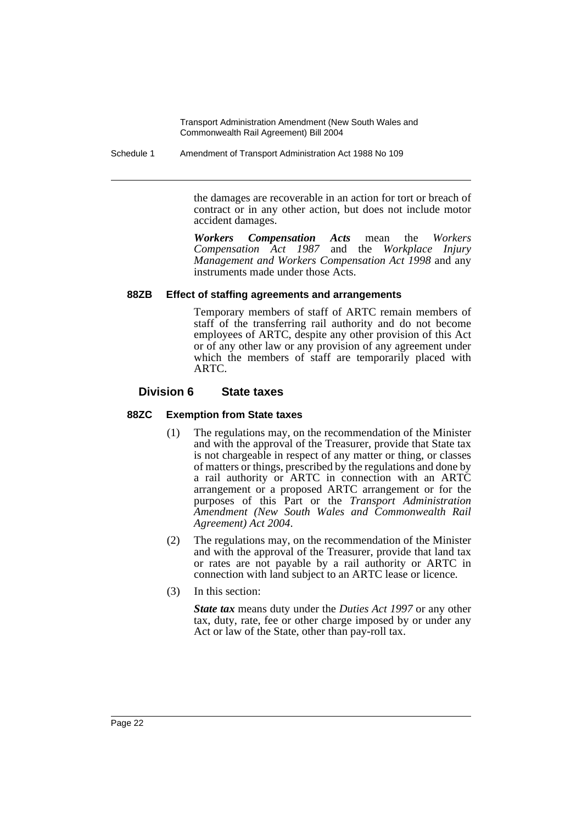Schedule 1 Amendment of Transport Administration Act 1988 No 109

the damages are recoverable in an action for tort or breach of contract or in any other action, but does not include motor accident damages.

*Workers Compensation Acts* mean the *Workers Compensation Act 1987* and the *Workplace Injury Management and Workers Compensation Act 1998* and any instruments made under those Acts.

### **88ZB Effect of staffing agreements and arrangements**

Temporary members of staff of ARTC remain members of staff of the transferring rail authority and do not become employees of ARTC, despite any other provision of this Act or of any other law or any provision of any agreement under which the members of staff are temporarily placed with ARTC.

### **Division 6 State taxes**

### **88ZC Exemption from State taxes**

- (1) The regulations may, on the recommendation of the Minister and with the approval of the Treasurer, provide that State tax is not chargeable in respect of any matter or thing, or classes of matters or things, prescribed by the regulations and done by a rail authority or ARTC in connection with an ARTC arrangement or a proposed ARTC arrangement or for the purposes of this Part or the *Transport Administration Amendment (New South Wales and Commonwealth Rail Agreement) Act 2004*.
- (2) The regulations may, on the recommendation of the Minister and with the approval of the Treasurer, provide that land tax or rates are not payable by a rail authority or ARTC in connection with land subject to an ARTC lease or licence.
- (3) In this section:

*State tax* means duty under the *Duties Act 1997* or any other tax, duty, rate, fee or other charge imposed by or under any Act or law of the State, other than pay-roll tax.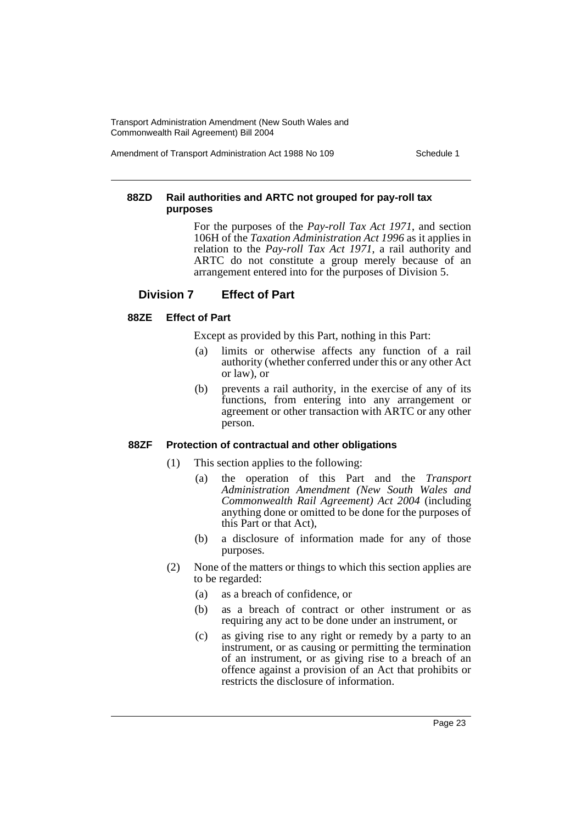Amendment of Transport Administration Act 1988 No 109 Schedule 1

### **88ZD Rail authorities and ARTC not grouped for pay-roll tax purposes**

For the purposes of the *Pay-roll Tax Act 1971*, and section 106H of the *Taxation Administration Act 1996* as it applies in relation to the *Pay-roll Tax Act 1971*, a rail authority and ARTC do not constitute a group merely because of an arrangement entered into for the purposes of Division 5.

## **Division 7 Effect of Part**

### **88ZE Effect of Part**

Except as provided by this Part, nothing in this Part:

- (a) limits or otherwise affects any function of a rail authority (whether conferred under this or any other Act or law), or
- (b) prevents a rail authority, in the exercise of any of its functions, from entering into any arrangement or agreement or other transaction with ARTC or any other person.

### **88ZF Protection of contractual and other obligations**

- (1) This section applies to the following:
	- (a) the operation of this Part and the *Transport Administration Amendment (New South Wales and Commonwealth Rail Agreement) Act 2004* (including anything done or omitted to be done for the purposes of this Part or that Act),
	- (b) a disclosure of information made for any of those purposes.
- (2) None of the matters or things to which this section applies are to be regarded:
	- (a) as a breach of confidence, or
	- (b) as a breach of contract or other instrument or as requiring any act to be done under an instrument, or
	- (c) as giving rise to any right or remedy by a party to an instrument, or as causing or permitting the termination of an instrument, or as giving rise to a breach of an offence against a provision of an Act that prohibits or restricts the disclosure of information.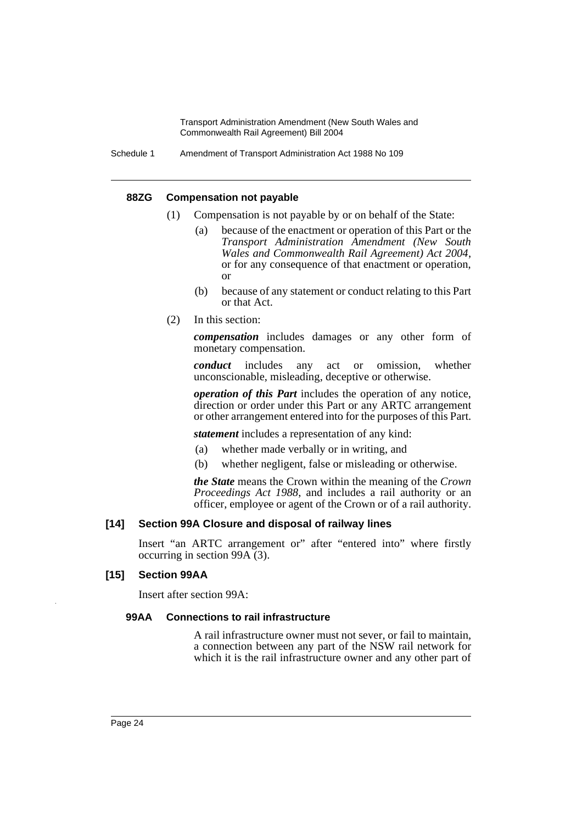#### **88ZG Compensation not payable**

- (1) Compensation is not payable by or on behalf of the State:
	- (a) because of the enactment or operation of this Part or the *Transport Administration Amendment (New South Wales and Commonwealth Rail Agreement) Act 2004*, or for any consequence of that enactment or operation, or
	- (b) because of any statement or conduct relating to this Part or that Act.
- (2) In this section:

*compensation* includes damages or any other form of monetary compensation.

*conduct* includes any act or omission, whether unconscionable, misleading, deceptive or otherwise.

*operation of this Part* includes the operation of any notice, direction or order under this Part or any ARTC arrangement or other arrangement entered into for the purposes of this Part.

*statement* includes a representation of any kind:

- (a) whether made verbally or in writing, and
- (b) whether negligent, false or misleading or otherwise.

*the State* means the Crown within the meaning of the *Crown Proceedings Act 1988*, and includes a rail authority or an officer, employee or agent of the Crown or of a rail authority.

### **[14] Section 99A Closure and disposal of railway lines**

Insert "an ARTC arrangement or" after "entered into" where firstly occurring in section 99A (3).

### **[15] Section 99AA**

Insert after section 99A:

#### **99AA Connections to rail infrastructure**

A rail infrastructure owner must not sever, or fail to maintain, a connection between any part of the NSW rail network for which it is the rail infrastructure owner and any other part of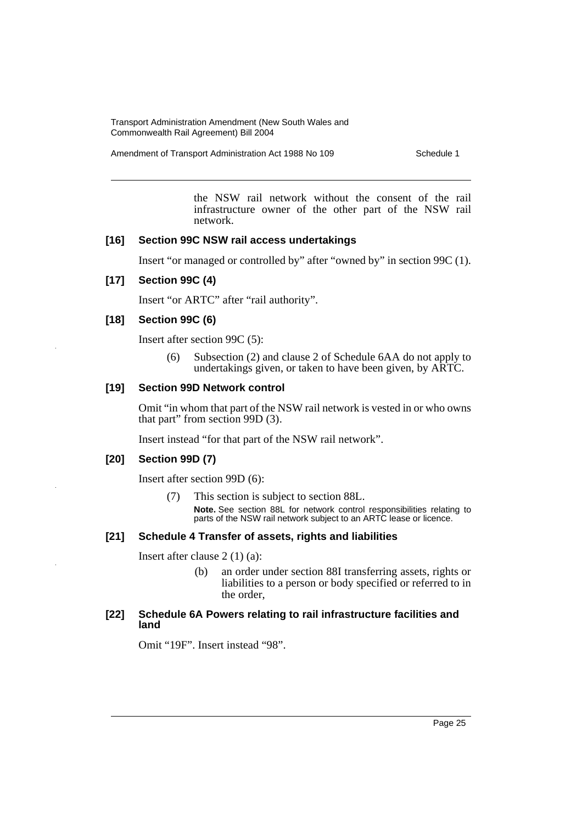Amendment of Transport Administration Act 1988 No 109 Schedule 1

the NSW rail network without the consent of the rail infrastructure owner of the other part of the NSW rail network.

#### **[16] Section 99C NSW rail access undertakings**

Insert "or managed or controlled by" after "owned by" in section 99C (1).

### **[17] Section 99C (4)**

Insert "or ARTC" after "rail authority".

### **[18] Section 99C (6)**

Insert after section 99C (5):

(6) Subsection (2) and clause 2 of Schedule 6AA do not apply to undertakings given, or taken to have been given, by ARTC.

### **[19] Section 99D Network control**

Omit "in whom that part of the NSW rail network is vested in or who owns that part" from section 99D (3).

Insert instead "for that part of the NSW rail network".

### **[20] Section 99D (7)**

Insert after section 99D (6):

(7) This section is subject to section 88L. **Note.** See section 88L for network control responsibilities relating to parts of the NSW rail network subject to an ARTC lease or licence.

### **[21] Schedule 4 Transfer of assets, rights and liabilities**

Insert after clause 2 (1) (a):

(b) an order under section 88I transferring assets, rights or liabilities to a person or body specified or referred to in the order,

#### **[22] Schedule 6A Powers relating to rail infrastructure facilities and land**

Omit "19F". Insert instead "98".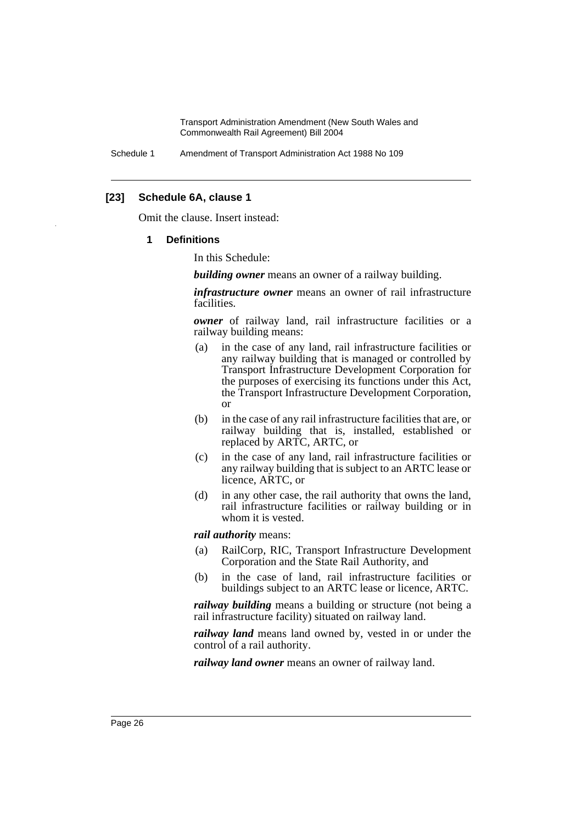Schedule 1 Amendment of Transport Administration Act 1988 No 109

### **[23] Schedule 6A, clause 1**

Omit the clause. Insert instead:

#### **1 Definitions**

In this Schedule:

*building owner* means an owner of a railway building.

*infrastructure owner* means an owner of rail infrastructure facilities.

*owner* of railway land, rail infrastructure facilities or a railway building means:

- (a) in the case of any land, rail infrastructure facilities or any railway building that is managed or controlled by Transport Infrastructure Development Corporation for the purposes of exercising its functions under this Act, the Transport Infrastructure Development Corporation, or
- (b) in the case of any rail infrastructure facilities that are, or railway building that is, installed, established or replaced by ARTC, ARTC, or
- (c) in the case of any land, rail infrastructure facilities or any railway building that is subject to an ARTC lease or licence, ARTC, or
- (d) in any other case, the rail authority that owns the land, rail infrastructure facilities or railway building or in whom it is vested.

*rail authority* means:

- (a) RailCorp, RIC, Transport Infrastructure Development Corporation and the State Rail Authority, and
- (b) in the case of land, rail infrastructure facilities or buildings subject to an ARTC lease or licence, ARTC.

*railway building* means a building or structure (not being a rail infrastructure facility) situated on railway land.

*railway land* means land owned by, vested in or under the control of a rail authority.

*railway land owner* means an owner of railway land.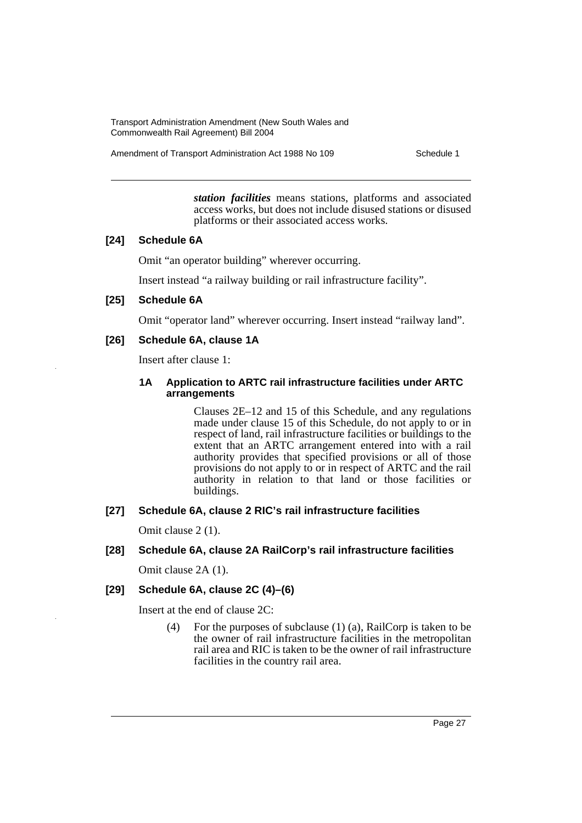Amendment of Transport Administration Act 1988 No 109 Schedule 1

*station facilities* means stations, platforms and associated access works, but does not include disused stations or disused platforms or their associated access works.

### **[24] Schedule 6A**

Omit "an operator building" wherever occurring.

Insert instead "a railway building or rail infrastructure facility".

#### **[25] Schedule 6A**

Omit "operator land" wherever occurring. Insert instead "railway land".

#### **[26] Schedule 6A, clause 1A**

Insert after clause 1:

### **1A Application to ARTC rail infrastructure facilities under ARTC arrangements**

Clauses 2E–12 and 15 of this Schedule, and any regulations made under clause 15 of this Schedule, do not apply to or in respect of land, rail infrastructure facilities or buildings to the extent that an ARTC arrangement entered into with a rail authority provides that specified provisions or all of those provisions do not apply to or in respect of ARTC and the rail authority in relation to that land or those facilities or buildings.

### **[27] Schedule 6A, clause 2 RIC's rail infrastructure facilities**

Omit clause 2 (1).

### **[28] Schedule 6A, clause 2A RailCorp's rail infrastructure facilities**

Omit clause 2A (1).

### **[29] Schedule 6A, clause 2C (4)–(6)**

Insert at the end of clause 2C:

(4) For the purposes of subclause (1) (a), RailCorp is taken to be the owner of rail infrastructure facilities in the metropolitan rail area and RIC is taken to be the owner of rail infrastructure facilities in the country rail area.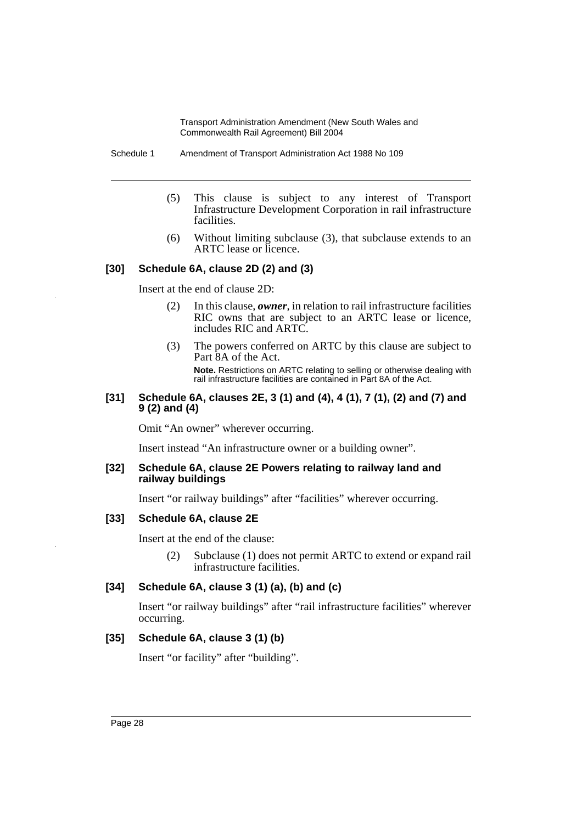Schedule 1 Amendment of Transport Administration Act 1988 No 109

- (5) This clause is subject to any interest of Transport Infrastructure Development Corporation in rail infrastructure facilities.
- (6) Without limiting subclause (3), that subclause extends to an ARTC lease or licence.

### **[30] Schedule 6A, clause 2D (2) and (3)**

Insert at the end of clause 2D:

- (2) In this clause, *owner*, in relation to rail infrastructure facilities RIC owns that are subject to an ARTC lease or licence, includes RIC and ARTC.
- (3) The powers conferred on ARTC by this clause are subject to Part 8A of the Act.

**Note.** Restrictions on ARTC relating to selling or otherwise dealing with rail infrastructure facilities are contained in Part 8A of the Act.

### **[31] Schedule 6A, clauses 2E, 3 (1) and (4), 4 (1), 7 (1), (2) and (7) and 9 (2) and (4)**

Omit "An owner" wherever occurring.

Insert instead "An infrastructure owner or a building owner".

#### **[32] Schedule 6A, clause 2E Powers relating to railway land and railway buildings**

Insert "or railway buildings" after "facilities" wherever occurring.

### **[33] Schedule 6A, clause 2E**

Insert at the end of the clause:

(2) Subclause (1) does not permit ARTC to extend or expand rail infrastructure facilities.

### **[34] Schedule 6A, clause 3 (1) (a), (b) and (c)**

Insert "or railway buildings" after "rail infrastructure facilities" wherever occurring.

### **[35] Schedule 6A, clause 3 (1) (b)**

Insert "or facility" after "building".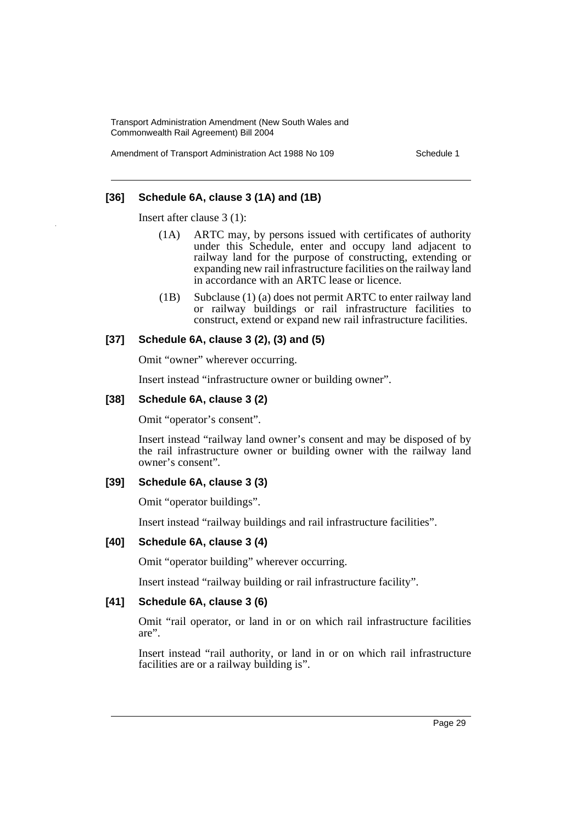Amendment of Transport Administration Act 1988 No 109 Schedule 1

### **[36] Schedule 6A, clause 3 (1A) and (1B)**

Insert after clause 3 (1):

- (1A) ARTC may, by persons issued with certificates of authority under this Schedule, enter and occupy land adjacent to railway land for the purpose of constructing, extending or expanding new rail infrastructure facilities on the railway land in accordance with an ARTC lease or licence.
- (1B) Subclause (1) (a) does not permit ARTC to enter railway land or railway buildings or rail infrastructure facilities to construct, extend or expand new rail infrastructure facilities.

### **[37] Schedule 6A, clause 3 (2), (3) and (5)**

Omit "owner" wherever occurring.

Insert instead "infrastructure owner or building owner".

### **[38] Schedule 6A, clause 3 (2)**

Omit "operator's consent".

Insert instead "railway land owner's consent and may be disposed of by the rail infrastructure owner or building owner with the railway land owner's consent".

#### **[39] Schedule 6A, clause 3 (3)**

Omit "operator buildings".

Insert instead "railway buildings and rail infrastructure facilities".

#### **[40] Schedule 6A, clause 3 (4)**

Omit "operator building" wherever occurring.

Insert instead "railway building or rail infrastructure facility".

### **[41] Schedule 6A, clause 3 (6)**

Omit "rail operator, or land in or on which rail infrastructure facilities are".

Insert instead "rail authority, or land in or on which rail infrastructure facilities are or a railway building is".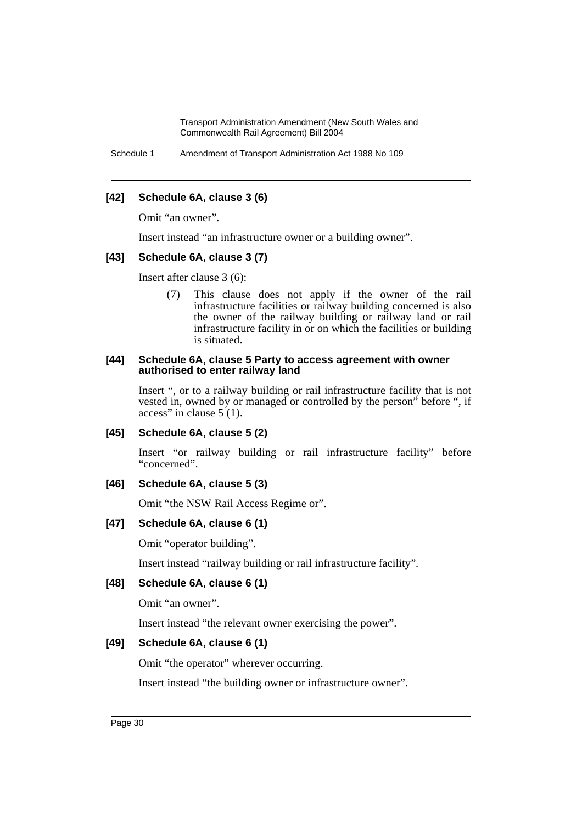Schedule 1 Amendment of Transport Administration Act 1988 No 109

### **[42] Schedule 6A, clause 3 (6)**

Omit "an owner".

Insert instead "an infrastructure owner or a building owner".

### **[43] Schedule 6A, clause 3 (7)**

Insert after clause 3 (6):

(7) This clause does not apply if the owner of the rail infrastructure facilities or railway building concerned is also the owner of the railway building or railway land or rail infrastructure facility in or on which the facilities or building is situated.

#### **[44] Schedule 6A, clause 5 Party to access agreement with owner authorised to enter railway land**

Insert ", or to a railway building or rail infrastructure facility that is not vested in, owned by or managed or controlled by the person" before ", if access" in clause  $5(1)$ .

### **[45] Schedule 6A, clause 5 (2)**

Insert "or railway building or rail infrastructure facility" before "concerned".

### **[46] Schedule 6A, clause 5 (3)**

Omit "the NSW Rail Access Regime or".

### **[47] Schedule 6A, clause 6 (1)**

Omit "operator building".

Insert instead "railway building or rail infrastructure facility".

### **[48] Schedule 6A, clause 6 (1)**

Omit "an owner".

Insert instead "the relevant owner exercising the power".

### **[49] Schedule 6A, clause 6 (1)**

Omit "the operator" wherever occurring.

Insert instead "the building owner or infrastructure owner".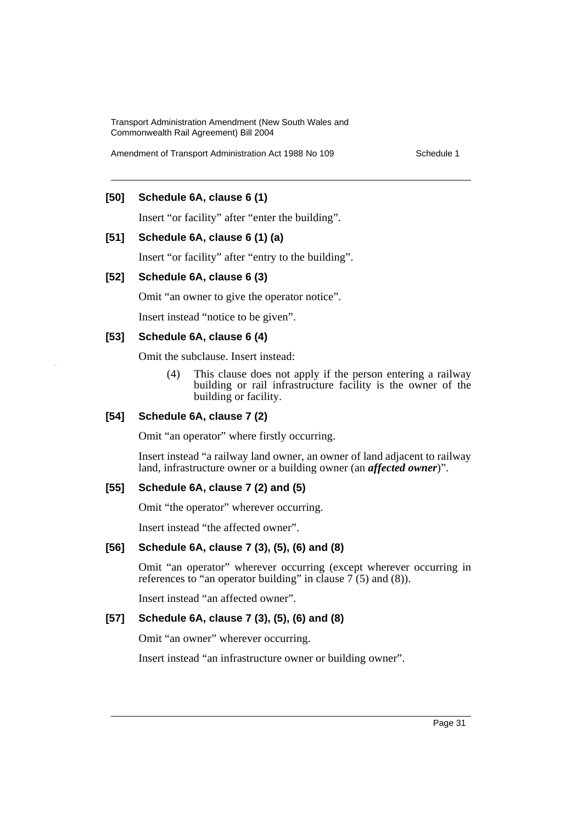Amendment of Transport Administration Act 1988 No 109 Schedule 1

### **[50] Schedule 6A, clause 6 (1)**

Insert "or facility" after "enter the building".

### **[51] Schedule 6A, clause 6 (1) (a)**

Insert "or facility" after "entry to the building".

#### **[52] Schedule 6A, clause 6 (3)**

Omit "an owner to give the operator notice".

Insert instead "notice to be given".

#### **[53] Schedule 6A, clause 6 (4)**

Omit the subclause. Insert instead:

(4) This clause does not apply if the person entering a railway building or rail infrastructure facility is the owner of the building or facility.

### **[54] Schedule 6A, clause 7 (2)**

Omit "an operator" where firstly occurring.

Insert instead "a railway land owner, an owner of land adjacent to railway land, infrastructure owner or a building owner (an *affected owner*)".

### **[55] Schedule 6A, clause 7 (2) and (5)**

Omit "the operator" wherever occurring.

Insert instead "the affected owner".

### **[56] Schedule 6A, clause 7 (3), (5), (6) and (8)**

Omit "an operator" wherever occurring (except wherever occurring in references to "an operator building" in clause  $7(5)$  and (8)).

Insert instead "an affected owner".

### **[57] Schedule 6A, clause 7 (3), (5), (6) and (8)**

Omit "an owner" wherever occurring.

Insert instead "an infrastructure owner or building owner".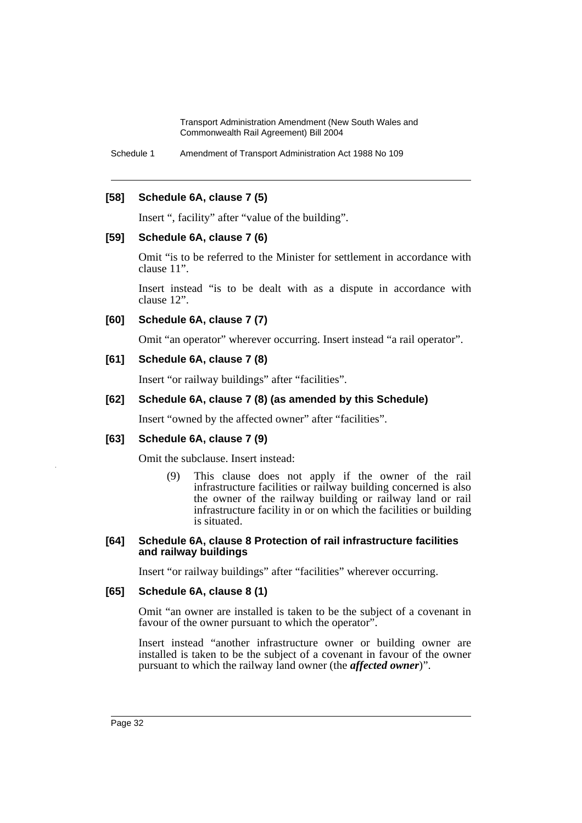Schedule 1 Amendment of Transport Administration Act 1988 No 109

### **[58] Schedule 6A, clause 7 (5)**

Insert ", facility" after "value of the building".

### **[59] Schedule 6A, clause 7 (6)**

Omit "is to be referred to the Minister for settlement in accordance with clause 11".

Insert instead "is to be dealt with as a dispute in accordance with clause 12".

### **[60] Schedule 6A, clause 7 (7)**

Omit "an operator" wherever occurring. Insert instead "a rail operator".

### **[61] Schedule 6A, clause 7 (8)**

Insert "or railway buildings" after "facilities".

### **[62] Schedule 6A, clause 7 (8) (as amended by this Schedule)**

Insert "owned by the affected owner" after "facilities".

### **[63] Schedule 6A, clause 7 (9)**

Omit the subclause. Insert instead:

(9) This clause does not apply if the owner of the rail infrastructure facilities or railway building concerned is also the owner of the railway building or railway land or rail infrastructure facility in or on which the facilities or building is situated.

### **[64] Schedule 6A, clause 8 Protection of rail infrastructure facilities and railway buildings**

Insert "or railway buildings" after "facilities" wherever occurring.

### **[65] Schedule 6A, clause 8 (1)**

Omit "an owner are installed is taken to be the subject of a covenant in favour of the owner pursuant to which the operator".

Insert instead "another infrastructure owner or building owner are installed is taken to be the subject of a covenant in favour of the owner pursuant to which the railway land owner (the *affected owner*)".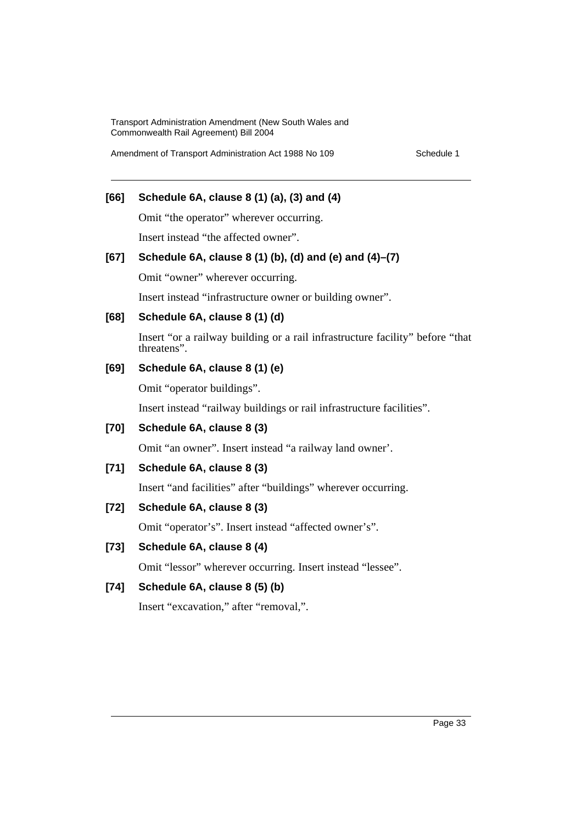Amendment of Transport Administration Act 1988 No 109 Schedule 1

## **[66] Schedule 6A, clause 8 (1) (a), (3) and (4)**

Omit "the operator" wherever occurring.

Insert instead "the affected owner".

### **[67] Schedule 6A, clause 8 (1) (b), (d) and (e) and (4)–(7)**

Omit "owner" wherever occurring.

Insert instead "infrastructure owner or building owner".

### **[68] Schedule 6A, clause 8 (1) (d)**

Insert "or a railway building or a rail infrastructure facility" before "that threatens".

## **[69] Schedule 6A, clause 8 (1) (e)**

Omit "operator buildings".

Insert instead "railway buildings or rail infrastructure facilities".

# **[70] Schedule 6A, clause 8 (3)**

Omit "an owner". Insert instead "a railway land owner'.

### **[71] Schedule 6A, clause 8 (3)**

Insert "and facilities" after "buildings" wherever occurring.

### **[72] Schedule 6A, clause 8 (3)**

Omit "operator's". Insert instead "affected owner's".

### **[73] Schedule 6A, clause 8 (4)**

Omit "lessor" wherever occurring. Insert instead "lessee".

### **[74] Schedule 6A, clause 8 (5) (b)**

Insert "excavation," after "removal,".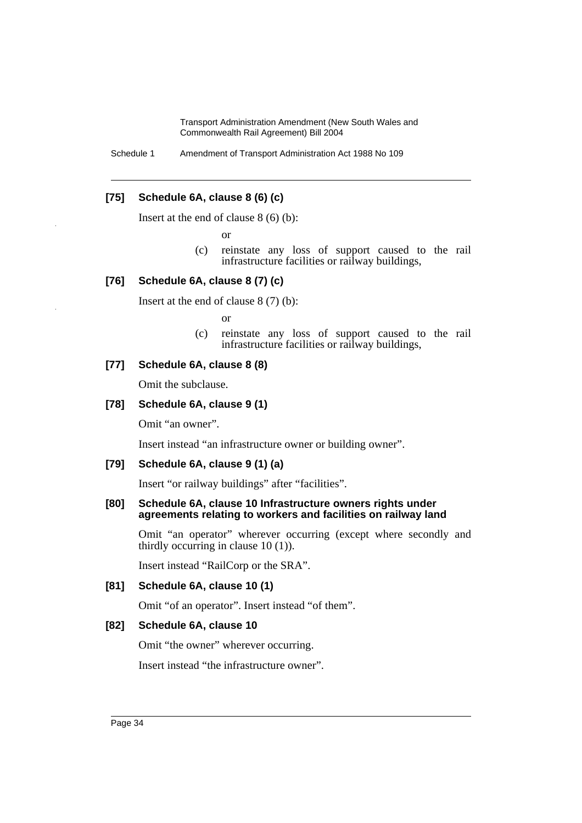Schedule 1 Amendment of Transport Administration Act 1988 No 109

### **[75] Schedule 6A, clause 8 (6) (c)**

Insert at the end of clause 8 (6) (b):

or

(c) reinstate any loss of support caused to the rail infrastructure facilities or railway buildings,

### **[76] Schedule 6A, clause 8 (7) (c)**

Insert at the end of clause 8 (7) (b):

or

(c) reinstate any loss of support caused to the rail infrastructure facilities or railway buildings,

### **[77] Schedule 6A, clause 8 (8)**

Omit the subclause.

#### **[78] Schedule 6A, clause 9 (1)**

Omit "an owner".

Insert instead "an infrastructure owner or building owner".

### **[79] Schedule 6A, clause 9 (1) (a)**

Insert "or railway buildings" after "facilities".

#### **[80] Schedule 6A, clause 10 Infrastructure owners rights under agreements relating to workers and facilities on railway land**

Omit "an operator" wherever occurring (except where secondly and thirdly occurring in clause 10 (1)).

Insert instead "RailCorp or the SRA".

### **[81] Schedule 6A, clause 10 (1)**

Omit "of an operator". Insert instead "of them".

#### **[82] Schedule 6A, clause 10**

Omit "the owner" wherever occurring.

Insert instead "the infrastructure owner".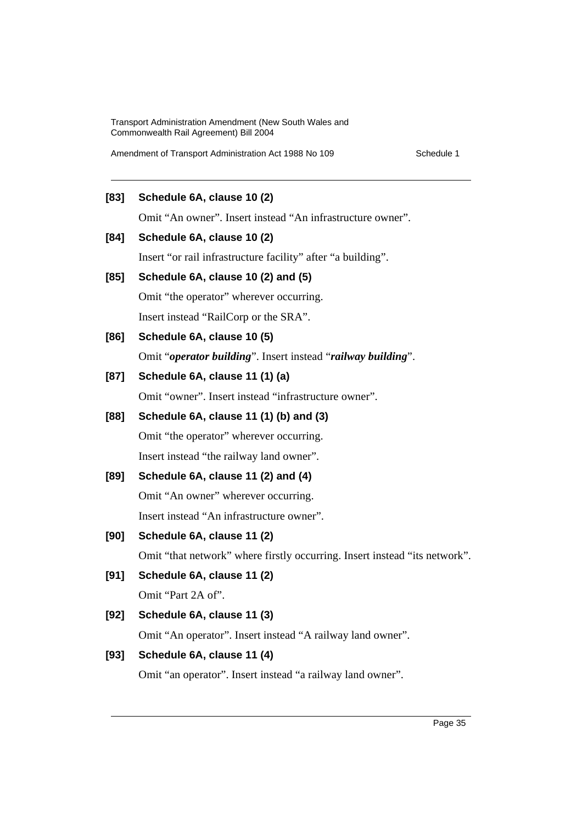Amendment of Transport Administration Act 1988 No 109 Schedule 1

### **[83] Schedule 6A, clause 10 (2)**

Omit "An owner". Insert instead "An infrastructure owner".

### **[84] Schedule 6A, clause 10 (2)**

Insert "or rail infrastructure facility" after "a building".

### **[85] Schedule 6A, clause 10 (2) and (5)**

Omit "the operator" wherever occurring.

Insert instead "RailCorp or the SRA".

### **[86] Schedule 6A, clause 10 (5)**

Omit "*operator building*". Insert instead "*railway building*".

### **[87] Schedule 6A, clause 11 (1) (a)**

Omit "owner". Insert instead "infrastructure owner".

# **[88] Schedule 6A, clause 11 (1) (b) and (3)**

Omit "the operator" wherever occurring. Insert instead "the railway land owner".

# **[89] Schedule 6A, clause 11 (2) and (4)**

Omit "An owner" wherever occurring.

Insert instead "An infrastructure owner".

# **[90] Schedule 6A, clause 11 (2)**

Omit "that network" where firstly occurring. Insert instead "its network".

# **[91] Schedule 6A, clause 11 (2)**

Omit "Part 2A of".

### **[92] Schedule 6A, clause 11 (3)**

Omit "An operator". Insert instead "A railway land owner".

### **[93] Schedule 6A, clause 11 (4)**

Omit "an operator". Insert instead "a railway land owner".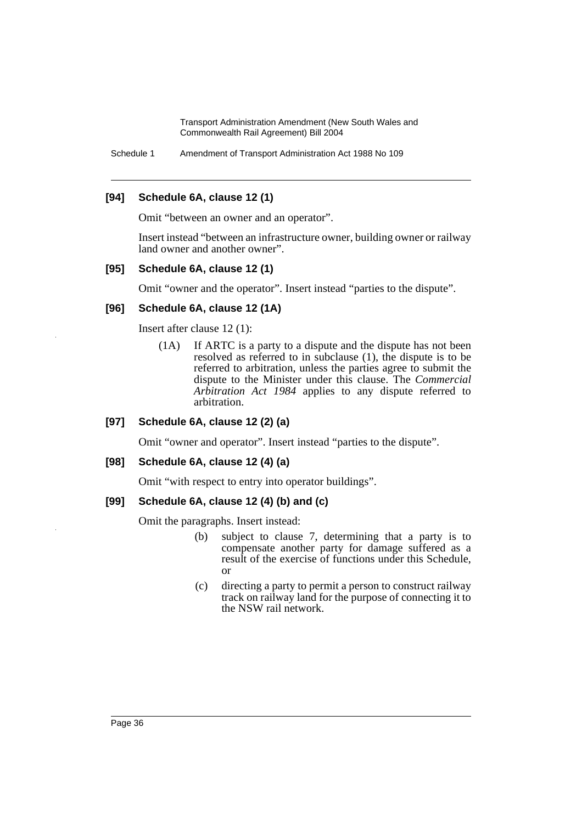Schedule 1 Amendment of Transport Administration Act 1988 No 109

### **[94] Schedule 6A, clause 12 (1)**

Omit "between an owner and an operator".

Insert instead "between an infrastructure owner, building owner or railway land owner and another owner".

### **[95] Schedule 6A, clause 12 (1)**

Omit "owner and the operator". Insert instead "parties to the dispute".

### **[96] Schedule 6A, clause 12 (1A)**

Insert after clause 12 (1):

(1A) If ARTC is a party to a dispute and the dispute has not been resolved as referred to in subclause (1), the dispute is to be referred to arbitration, unless the parties agree to submit the dispute to the Minister under this clause. The *Commercial Arbitration Act 1984* applies to any dispute referred to arbitration.

### **[97] Schedule 6A, clause 12 (2) (a)**

Omit "owner and operator". Insert instead "parties to the dispute".

### **[98] Schedule 6A, clause 12 (4) (a)**

Omit "with respect to entry into operator buildings".

### **[99] Schedule 6A, clause 12 (4) (b) and (c)**

Omit the paragraphs. Insert instead:

- (b) subject to clause 7, determining that a party is to compensate another party for damage suffered as a result of the exercise of functions under this Schedule, or
- (c) directing a party to permit a person to construct railway track on railway land for the purpose of connecting it to the NSW rail network.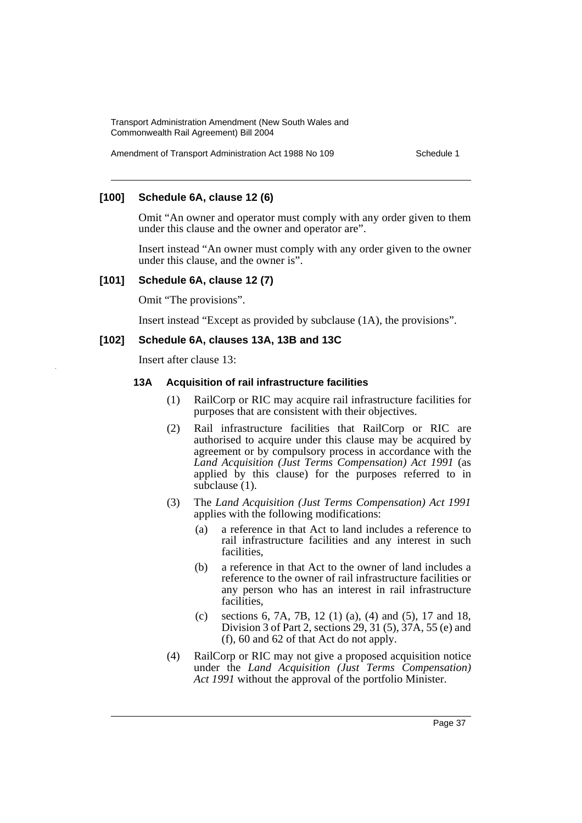Amendment of Transport Administration Act 1988 No 109 Schedule 1

### **[100] Schedule 6A, clause 12 (6)**

Omit "An owner and operator must comply with any order given to them under this clause and the owner and operator are".

Insert instead "An owner must comply with any order given to the owner under this clause, and the owner is".

#### **[101] Schedule 6A, clause 12 (7)**

Omit "The provisions".

Insert instead "Except as provided by subclause (1A), the provisions".

#### **[102] Schedule 6A, clauses 13A, 13B and 13C**

Insert after clause 13:

#### **13A Acquisition of rail infrastructure facilities**

- (1) RailCorp or RIC may acquire rail infrastructure facilities for purposes that are consistent with their objectives.
- (2) Rail infrastructure facilities that RailCorp or RIC are authorised to acquire under this clause may be acquired by agreement or by compulsory process in accordance with the *Land Acquisition (Just Terms Compensation) Act 1991* (as applied by this clause) for the purposes referred to in subclause (1).
- (3) The *Land Acquisition (Just Terms Compensation) Act 1991* applies with the following modifications:
	- (a) a reference in that Act to land includes a reference to rail infrastructure facilities and any interest in such facilities,
	- (b) a reference in that Act to the owner of land includes a reference to the owner of rail infrastructure facilities or any person who has an interest in rail infrastructure facilities,
	- (c) sections 6, 7A, 7B, 12 (1) (a), (4) and (5), 17 and 18, Division 3 of Part 2, sections 29, 31 (5), 37A, 55 (e) and (f), 60 and 62 of that Act do not apply.
- (4) RailCorp or RIC may not give a proposed acquisition notice under the *Land Acquisition (Just Terms Compensation) Act 1991* without the approval of the portfolio Minister.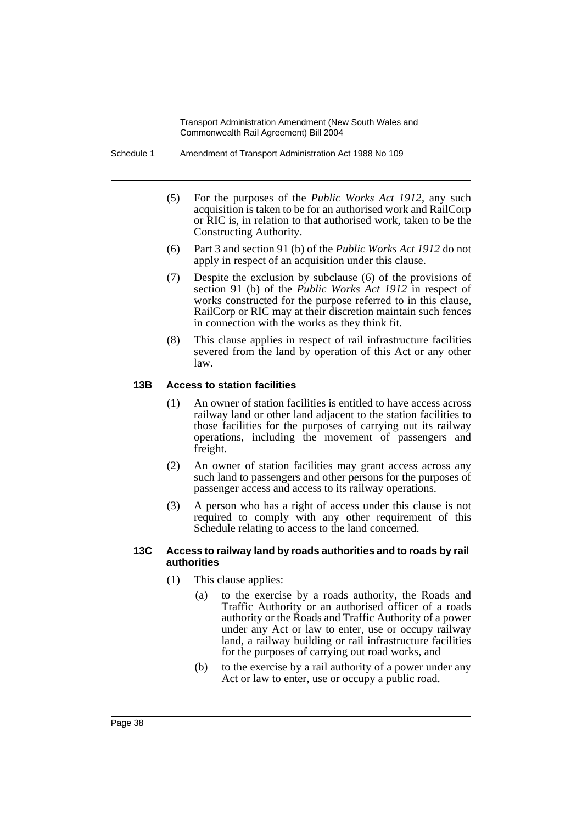Schedule 1 Amendment of Transport Administration Act 1988 No 109

- (5) For the purposes of the *Public Works Act 1912*, any such acquisition is taken to be for an authorised work and RailCorp or RIC is, in relation to that authorised work, taken to be the Constructing Authority.
- (6) Part 3 and section 91 (b) of the *Public Works Act 1912* do not apply in respect of an acquisition under this clause.
- (7) Despite the exclusion by subclause (6) of the provisions of section 91 (b) of the *Public Works Act 1912* in respect of works constructed for the purpose referred to in this clause, RailCorp or RIC may at their discretion maintain such fences in connection with the works as they think fit.
- (8) This clause applies in respect of rail infrastructure facilities severed from the land by operation of this Act or any other law.

### **13B Access to station facilities**

- (1) An owner of station facilities is entitled to have access across railway land or other land adjacent to the station facilities to those facilities for the purposes of carrying out its railway operations, including the movement of passengers and freight.
- (2) An owner of station facilities may grant access across any such land to passengers and other persons for the purposes of passenger access and access to its railway operations.
- (3) A person who has a right of access under this clause is not required to comply with any other requirement of this Schedule relating to access to the land concerned.

#### **13C Access to railway land by roads authorities and to roads by rail authorities**

- (1) This clause applies:
	- (a) to the exercise by a roads authority, the Roads and Traffic Authority or an authorised officer of a roads authority or the Roads and Traffic Authority of a power under any Act or law to enter, use or occupy railway land, a railway building or rail infrastructure facilities for the purposes of carrying out road works, and
	- (b) to the exercise by a rail authority of a power under any Act or law to enter, use or occupy a public road.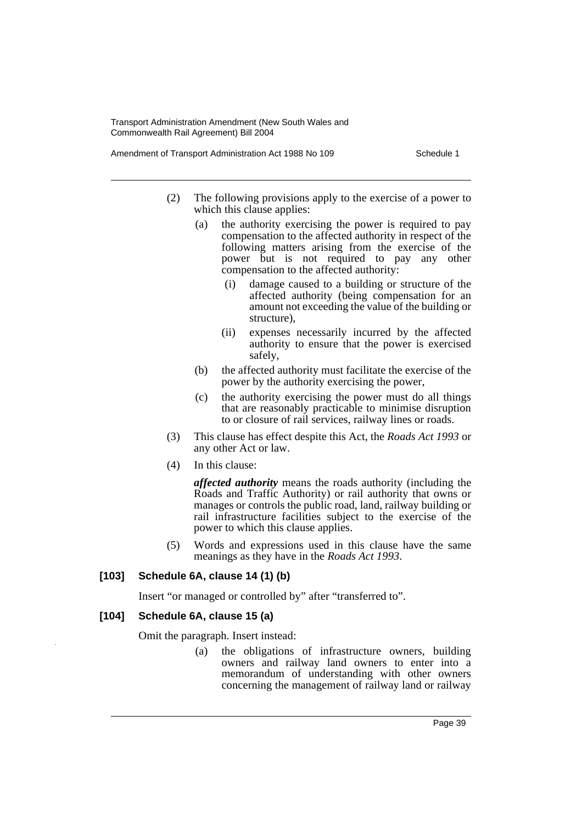Amendment of Transport Administration Act 1988 No 109 Schedule 1

- (2) The following provisions apply to the exercise of a power to which this clause applies:
	- (a) the authority exercising the power is required to pay compensation to the affected authority in respect of the following matters arising from the exercise of the power but is not required to pay any other compensation to the affected authority:
		- (i) damage caused to a building or structure of the affected authority (being compensation for an amount not exceeding the value of the building or structure),
		- (ii) expenses necessarily incurred by the affected authority to ensure that the power is exercised safely,
	- (b) the affected authority must facilitate the exercise of the power by the authority exercising the power,
	- (c) the authority exercising the power must do all things that are reasonably practicable to minimise disruption to or closure of rail services, railway lines or roads.
- (3) This clause has effect despite this Act, the *Roads Act 1993* or any other Act or law.
- (4) In this clause:

*affected authority* means the roads authority (including the Roads and Traffic Authority) or rail authority that owns or manages or controls the public road, land, railway building or rail infrastructure facilities subject to the exercise of the power to which this clause applies.

(5) Words and expressions used in this clause have the same meanings as they have in the *Roads Act 1993*.

### **[103] Schedule 6A, clause 14 (1) (b)**

Insert "or managed or controlled by" after "transferred to".

### **[104] Schedule 6A, clause 15 (a)**

Omit the paragraph. Insert instead:

(a) the obligations of infrastructure owners, building owners and railway land owners to enter into a memorandum of understanding with other owners concerning the management of railway land or railway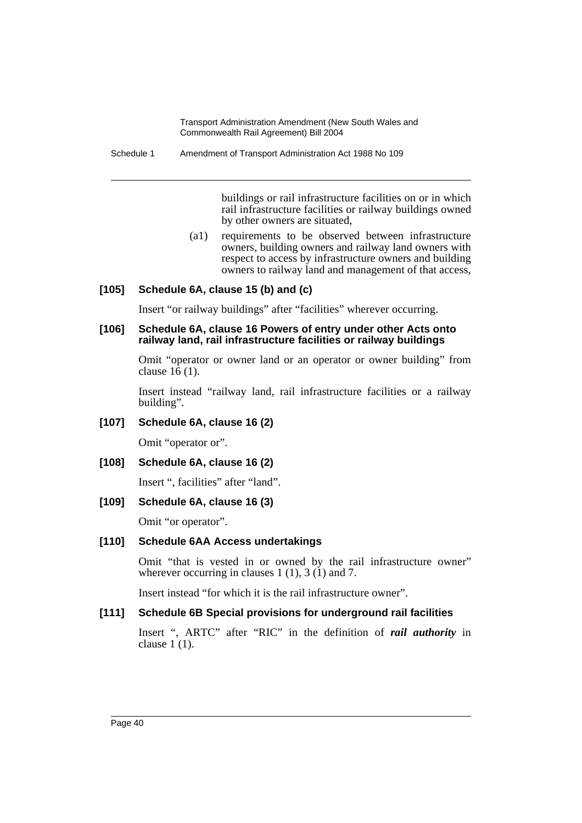Schedule 1 Amendment of Transport Administration Act 1988 No 109

buildings or rail infrastructure facilities on or in which rail infrastructure facilities or railway buildings owned by other owners are situated,

(a1) requirements to be observed between infrastructure owners, building owners and railway land owners with respect to access by infrastructure owners and building owners to railway land and management of that access,

### **[105] Schedule 6A, clause 15 (b) and (c)**

Insert "or railway buildings" after "facilities" wherever occurring.

### **[106] Schedule 6A, clause 16 Powers of entry under other Acts onto railway land, rail infrastructure facilities or railway buildings**

Omit "operator or owner land or an operator or owner building" from clause 16 (1).

Insert instead "railway land, rail infrastructure facilities or a railway building".

### **[107] Schedule 6A, clause 16 (2)**

Omit "operator or".

### **[108] Schedule 6A, clause 16 (2)**

Insert ", facilities" after "land".

### **[109] Schedule 6A, clause 16 (3)**

Omit "or operator".

### **[110] Schedule 6AA Access undertakings**

Omit "that is vested in or owned by the rail infrastructure owner" wherever occurring in clauses 1 (1), 3 (1) and 7.

Insert instead "for which it is the rail infrastructure owner".

### **[111] Schedule 6B Special provisions for underground rail facilities**

Insert ", ARTC" after "RIC" in the definition of *rail authority* in clause 1 (1).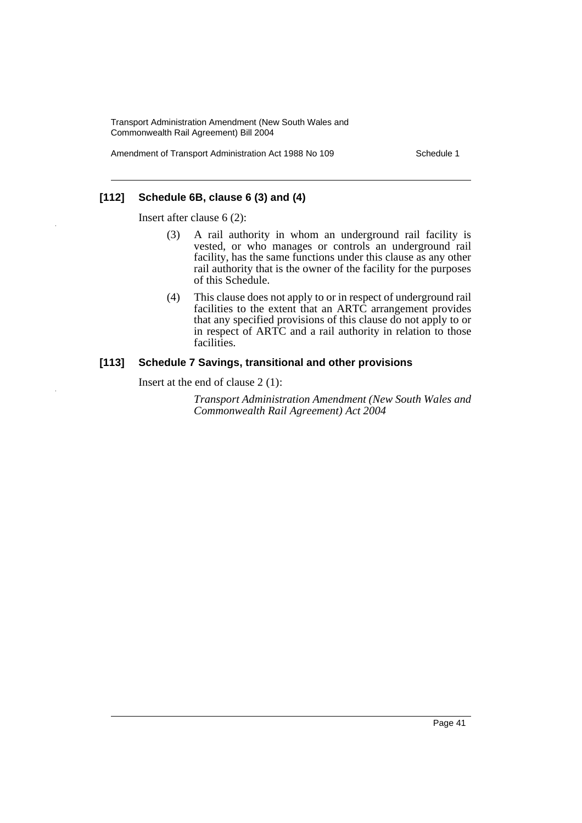Amendment of Transport Administration Act 1988 No 109 Schedule 1

### **[112] Schedule 6B, clause 6 (3) and (4)**

Insert after clause 6 (2):

- (3) A rail authority in whom an underground rail facility is vested, or who manages or controls an underground rail facility, has the same functions under this clause as any other rail authority that is the owner of the facility for the purposes of this Schedule.
- (4) This clause does not apply to or in respect of underground rail facilities to the extent that an ARTC arrangement provides that any specified provisions of this clause do not apply to or in respect of ARTC and a rail authority in relation to those facilities.

#### **[113] Schedule 7 Savings, transitional and other provisions**

Insert at the end of clause 2 (1):

*Transport Administration Amendment (New South Wales and Commonwealth Rail Agreement) Act 2004*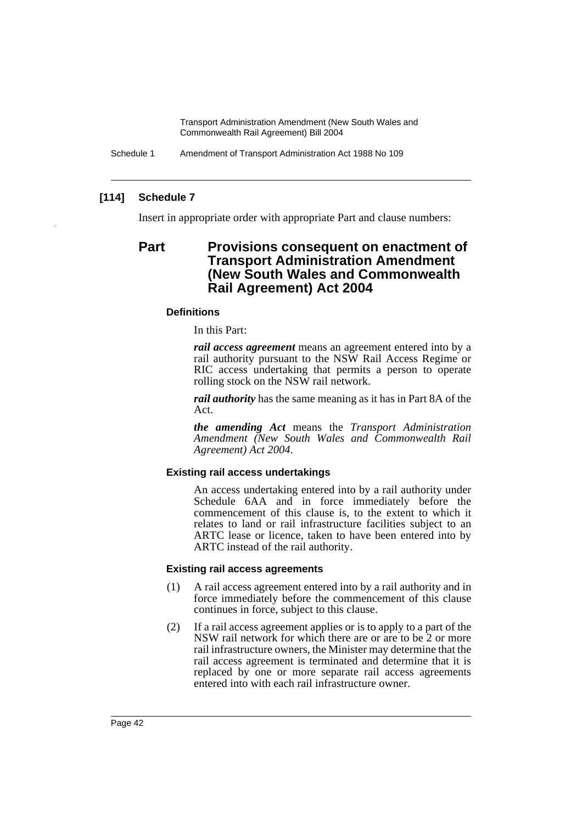Schedule 1 Amendment of Transport Administration Act 1988 No 109

### **[114] Schedule 7**

Insert in appropriate order with appropriate Part and clause numbers:

# **Part Provisions consequent on enactment of Transport Administration Amendment (New South Wales and Commonwealth Rail Agreement) Act 2004**

### **Definitions**

In this Part:

*rail access agreement* means an agreement entered into by a rail authority pursuant to the NSW Rail Access Regime or RIC access undertaking that permits a person to operate rolling stock on the NSW rail network.

*rail authority* has the same meaning as it has in Part 8A of the Act.

*the amending Act* means the *Transport Administration Amendment (New South Wales and Commonwealth Rail Agreement) Act 2004*.

#### **Existing rail access undertakings**

An access undertaking entered into by a rail authority under Schedule 6AA and in force immediately before the commencement of this clause is, to the extent to which it relates to land or rail infrastructure facilities subject to an ARTC lease or licence, taken to have been entered into by ARTC instead of the rail authority.

#### **Existing rail access agreements**

- (1) A rail access agreement entered into by a rail authority and in force immediately before the commencement of this clause continues in force, subject to this clause.
- (2) If a rail access agreement applies or is to apply to a part of the NSW rail network for which there are or are to be 2 or more rail infrastructure owners, the Minister may determine that the rail access agreement is terminated and determine that it is replaced by one or more separate rail access agreements entered into with each rail infrastructure owner.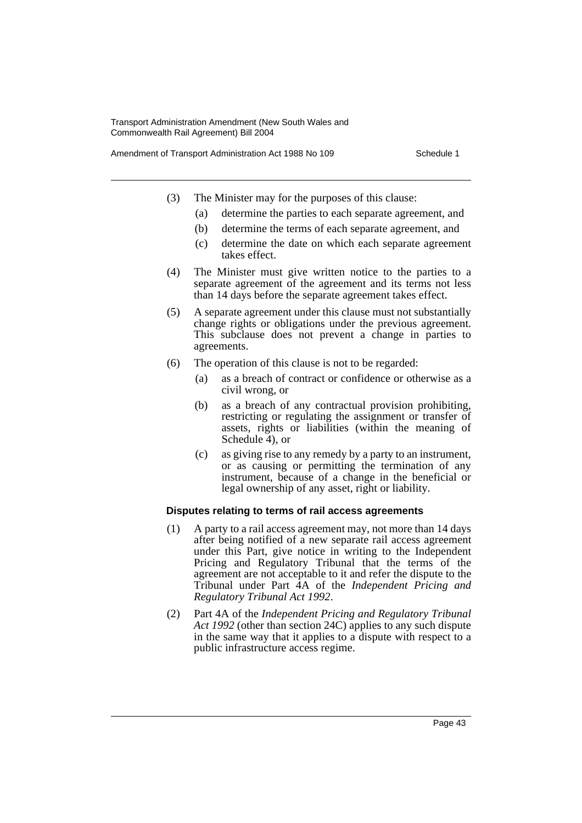Amendment of Transport Administration Act 1988 No 109 Schedule 1

- (3) The Minister may for the purposes of this clause:
	- (a) determine the parties to each separate agreement, and
	- (b) determine the terms of each separate agreement, and
	- (c) determine the date on which each separate agreement takes effect.
- (4) The Minister must give written notice to the parties to a separate agreement of the agreement and its terms not less than 14 days before the separate agreement takes effect.
- (5) A separate agreement under this clause must not substantially change rights or obligations under the previous agreement. This subclause does not prevent a change in parties to agreements.
- (6) The operation of this clause is not to be regarded:
	- (a) as a breach of contract or confidence or otherwise as a civil wrong, or
	- (b) as a breach of any contractual provision prohibiting, restricting or regulating the assignment or transfer of assets, rights or liabilities (within the meaning of Schedule 4), or
	- (c) as giving rise to any remedy by a party to an instrument, or as causing or permitting the termination of any instrument, because of a change in the beneficial or legal ownership of any asset, right or liability.

#### **Disputes relating to terms of rail access agreements**

- (1) A party to a rail access agreement may, not more than 14 days after being notified of a new separate rail access agreement under this Part, give notice in writing to the Independent Pricing and Regulatory Tribunal that the terms of the agreement are not acceptable to it and refer the dispute to the Tribunal under Part 4A of the *Independent Pricing and Regulatory Tribunal Act 1992*.
- (2) Part 4A of the *Independent Pricing and Regulatory Tribunal Act 1992* (other than section 24C) applies to any such dispute in the same way that it applies to a dispute with respect to a public infrastructure access regime.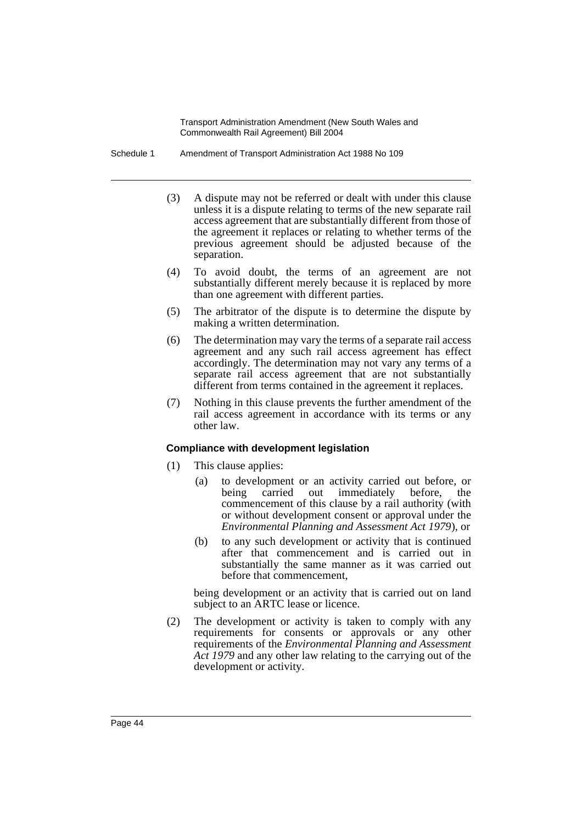Schedule 1 Amendment of Transport Administration Act 1988 No 109

- (3) A dispute may not be referred or dealt with under this clause unless it is a dispute relating to terms of the new separate rail access agreement that are substantially different from those of the agreement it replaces or relating to whether terms of the previous agreement should be adjusted because of the separation.
- (4) To avoid doubt, the terms of an agreement are not substantially different merely because it is replaced by more than one agreement with different parties.
- (5) The arbitrator of the dispute is to determine the dispute by making a written determination.
- (6) The determination may vary the terms of a separate rail access agreement and any such rail access agreement has effect accordingly. The determination may not vary any terms of a separate rail access agreement that are not substantially different from terms contained in the agreement it replaces.
- (7) Nothing in this clause prevents the further amendment of the rail access agreement in accordance with its terms or any other law.

### **Compliance with development legislation**

- (1) This clause applies:
	- (a) to development or an activity carried out before, or being carried out immediately before, the commencement of this clause by a rail authority (with or without development consent or approval under the *Environmental Planning and Assessment Act 1979*), or
	- (b) to any such development or activity that is continued after that commencement and is carried out in substantially the same manner as it was carried out before that commencement,

being development or an activity that is carried out on land subject to an ARTC lease or licence.

(2) The development or activity is taken to comply with any requirements for consents or approvals or any other requirements of the *Environmental Planning and Assessment Act 1979* and any other law relating to the carrying out of the development or activity.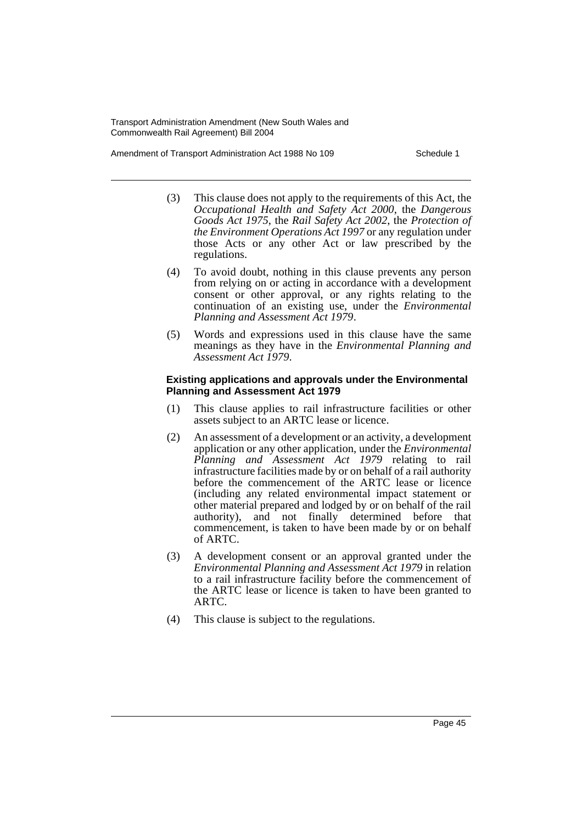Amendment of Transport Administration Act 1988 No 109 Schedule 1

- (3) This clause does not apply to the requirements of this Act, the *Occupational Health and Safety Act 2000*, the *Dangerous Goods Act 1975*, the *Rail Safety Act 2002*, the *Protection of the Environment Operations Act 1997* or any regulation under those Acts or any other Act or law prescribed by the regulations.
- (4) To avoid doubt, nothing in this clause prevents any person from relying on or acting in accordance with a development consent or other approval, or any rights relating to the continuation of an existing use, under the *Environmental Planning and Assessment Act 1979*.
- (5) Words and expressions used in this clause have the same meanings as they have in the *Environmental Planning and Assessment Act 1979*.

#### **Existing applications and approvals under the Environmental Planning and Assessment Act 1979**

- (1) This clause applies to rail infrastructure facilities or other assets subject to an ARTC lease or licence.
- (2) An assessment of a development or an activity, a development application or any other application, under the *Environmental Planning and Assessment Act 1979* relating to rail infrastructure facilities made by or on behalf of a rail authority before the commencement of the ARTC lease or licence (including any related environmental impact statement or other material prepared and lodged by or on behalf of the rail authority), and not finally determined before that commencement, is taken to have been made by or on behalf of ARTC.
- (3) A development consent or an approval granted under the *Environmental Planning and Assessment Act 1979* in relation to a rail infrastructure facility before the commencement of the ARTC lease or licence is taken to have been granted to ARTC.
- (4) This clause is subject to the regulations.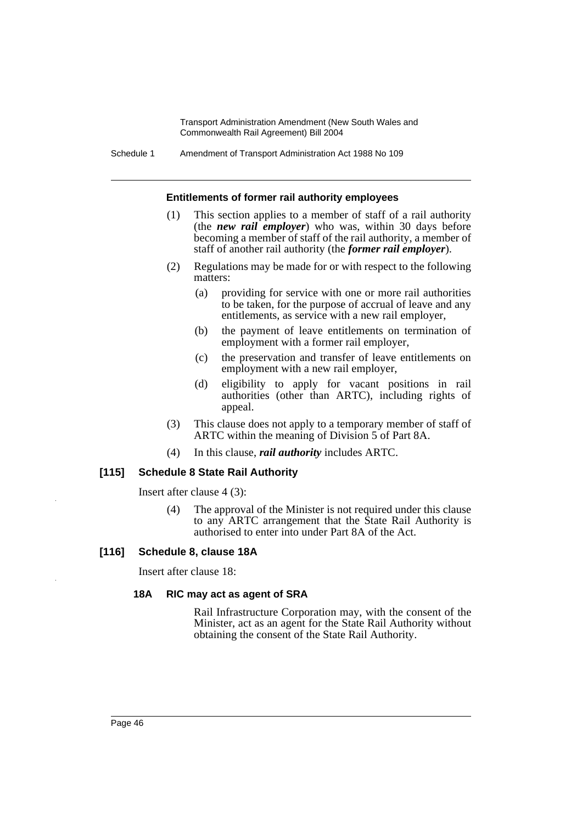Schedule 1 Amendment of Transport Administration Act 1988 No 109

#### **Entitlements of former rail authority employees**

- (1) This section applies to a member of staff of a rail authority (the *new rail employer*) who was, within 30 days before becoming a member of staff of the rail authority, a member of staff of another rail authority (the *former rail employer*).
- (2) Regulations may be made for or with respect to the following matters:
	- (a) providing for service with one or more rail authorities to be taken, for the purpose of accrual of leave and any entitlements, as service with a new rail employer,
	- (b) the payment of leave entitlements on termination of employment with a former rail employer,
	- (c) the preservation and transfer of leave entitlements on employment with a new rail employer,
	- (d) eligibility to apply for vacant positions in rail authorities (other than ARTC), including rights of appeal.
- (3) This clause does not apply to a temporary member of staff of ARTC within the meaning of Division 5 of Part 8A.
- (4) In this clause, *rail authority* includes ARTC.

#### **[115] Schedule 8 State Rail Authority**

Insert after clause 4 (3):

(4) The approval of the Minister is not required under this clause to any ARTC arrangement that the State Rail Authority is authorised to enter into under Part 8A of the Act.

#### **[116] Schedule 8, clause 18A**

Insert after clause 18:

#### **18A RIC may act as agent of SRA**

Rail Infrastructure Corporation may, with the consent of the Minister, act as an agent for the State Rail Authority without obtaining the consent of the State Rail Authority.